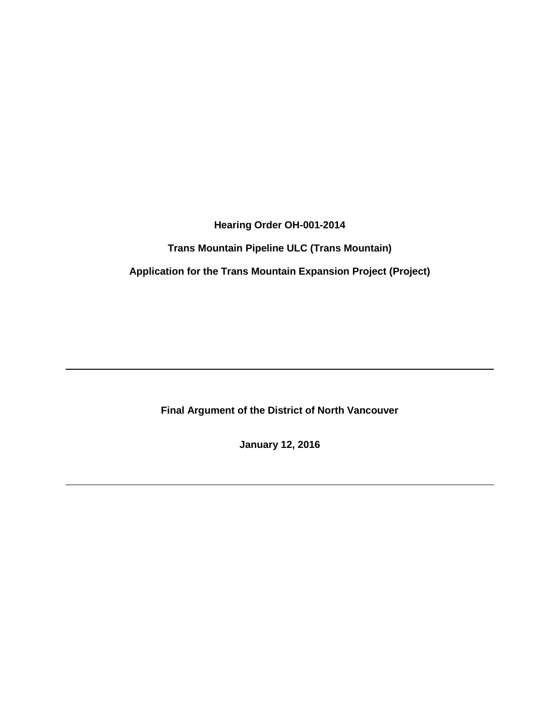**Hearing Order OH-001-2014**

**Trans Mountain Pipeline ULC (Trans Mountain)**

**Application for the Trans Mountain Expansion Project (Project)**

**Final Argument of the District of North Vancouver**

**January 12, 2016**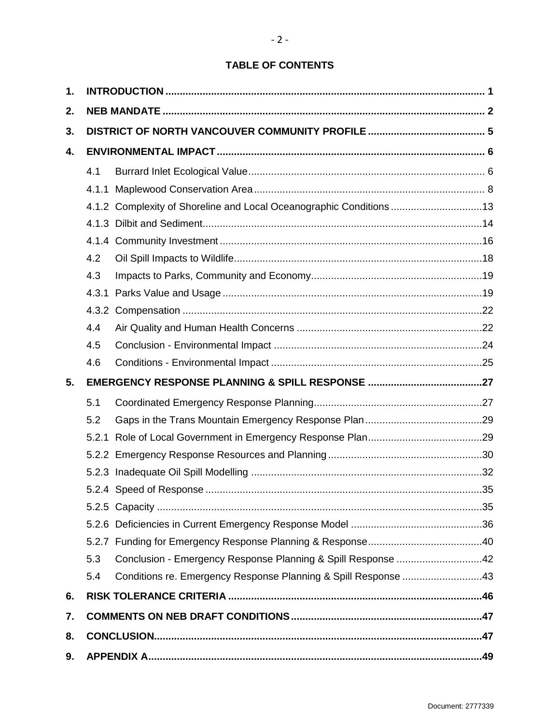# **TABLE OF CONTENTS**

 $-2 -$ 

| 1. |       |                                                                     |  |  |
|----|-------|---------------------------------------------------------------------|--|--|
| 2. |       |                                                                     |  |  |
| 3. |       |                                                                     |  |  |
| 4. |       |                                                                     |  |  |
|    | 4.1   |                                                                     |  |  |
|    |       |                                                                     |  |  |
|    |       | 4.1.2 Complexity of Shoreline and Local Oceanographic Conditions 13 |  |  |
|    |       |                                                                     |  |  |
|    |       |                                                                     |  |  |
|    | 4.2   |                                                                     |  |  |
|    | 4.3   |                                                                     |  |  |
|    | 4.3.1 |                                                                     |  |  |
|    | 4.3.2 |                                                                     |  |  |
|    | 4.4   |                                                                     |  |  |
|    | 4.5   |                                                                     |  |  |
|    | 4.6   |                                                                     |  |  |
| 5. |       |                                                                     |  |  |
|    | 5.1   |                                                                     |  |  |
|    | 5.2   |                                                                     |  |  |
|    |       |                                                                     |  |  |
|    |       |                                                                     |  |  |
|    |       |                                                                     |  |  |
|    |       |                                                                     |  |  |
|    |       |                                                                     |  |  |
|    |       |                                                                     |  |  |
|    |       |                                                                     |  |  |
|    |       |                                                                     |  |  |
|    | 5.3   | Conclusion - Emergency Response Planning & Spill Response 42        |  |  |
|    | 5.4   | Conditions re. Emergency Response Planning & Spill Response 43      |  |  |
| 6. |       |                                                                     |  |  |
| 7. |       |                                                                     |  |  |
| 8. |       |                                                                     |  |  |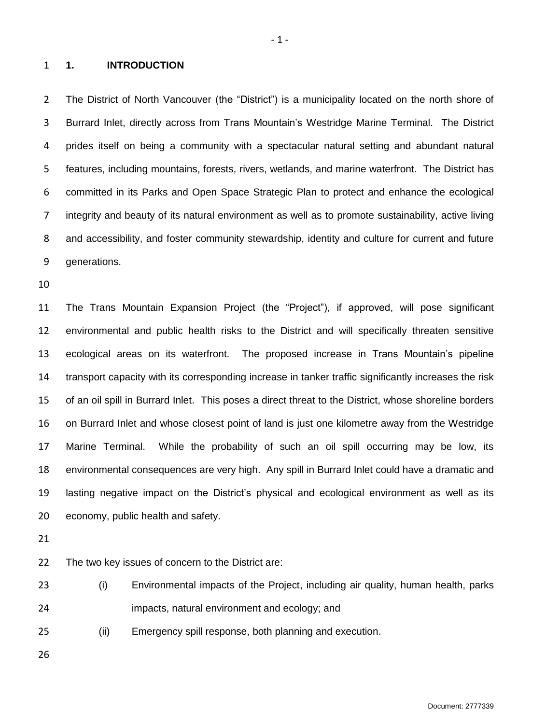#### <span id="page-2-0"></span>**1. INTRODUCTION**

 The District of North Vancouver (the "District") is a municipality located on the north shore of Burrard Inlet, directly across from Trans Mountain's Westridge Marine Terminal. The District prides itself on being a community with a spectacular natural setting and abundant natural features, including mountains, forests, rivers, wetlands, and marine waterfront. The District has committed in its Parks and Open Space Strategic Plan to protect and enhance the ecological integrity and beauty of its natural environment as well as to promote sustainability, active living and accessibility, and foster community stewardship, identity and culture for current and future generations.

 The Trans Mountain Expansion Project (the "Project"), if approved, will pose significant environmental and public health risks to the District and will specifically threaten sensitive ecological areas on its waterfront. The proposed increase in Trans Mountain's pipeline transport capacity with its corresponding increase in tanker traffic significantly increases the risk of an oil spill in Burrard Inlet. This poses a direct threat to the District, whose shoreline borders on Burrard Inlet and whose closest point of land is just one kilometre away from the Westridge Marine Terminal. While the probability of such an oil spill occurring may be low, its environmental consequences are very high. Any spill in Burrard Inlet could have a dramatic and lasting negative impact on the District's physical and ecological environment as well as its economy, public health and safety.

The two key issues of concern to the District are:

 (i) Environmental impacts of the Project, including air quality, human health, parks impacts, natural environment and ecology; and

(ii) Emergency spill response, both planning and execution.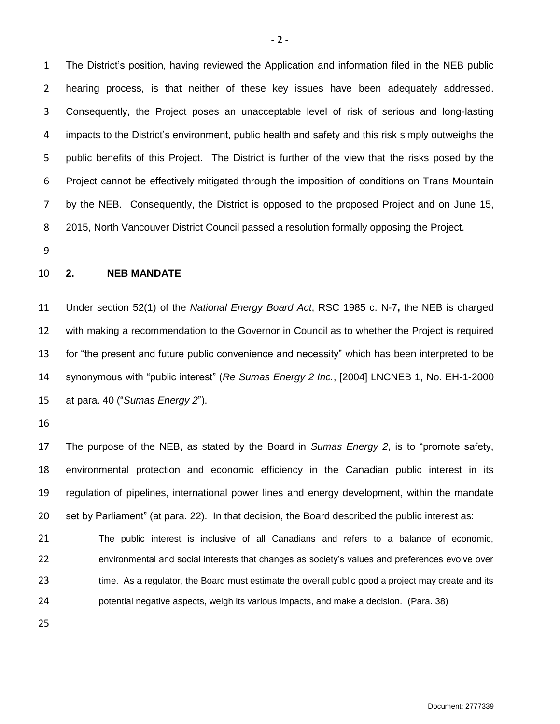The District's position, having reviewed the Application and information filed in the NEB public hearing process, is that neither of these key issues have been adequately addressed. Consequently, the Project poses an unacceptable level of risk of serious and long-lasting impacts to the District's environment, public health and safety and this risk simply outweighs the public benefits of this Project. The District is further of the view that the risks posed by the Project cannot be effectively mitigated through the imposition of conditions on Trans Mountain by the NEB. Consequently, the District is opposed to the proposed Project and on June 15, 2015, North Vancouver District Council passed a resolution formally opposing the Project.

#### <span id="page-3-0"></span>**2. NEB MANDATE**

 Under section 52(1) of the *National Energy Board Act*, RSC 1985 c. N-7**,** the NEB is charged with making a recommendation to the Governor in Council as to whether the Project is required for "the present and future public convenience and necessity" which has been interpreted to be synonymous with "public interest" (*Re Sumas Energy 2 Inc.*, [2004] LNCNEB 1, No. EH-1-2000 at para. 40 ("*Sumas Energy 2*").

 The purpose of the NEB, as stated by the Board in *Sumas Energy 2*, is to "promote safety, environmental protection and economic efficiency in the Canadian public interest in its regulation of pipelines, international power lines and energy development, within the mandate set by Parliament" (at para. 22). In that decision, the Board described the public interest as:

 The public interest is inclusive of all Canadians and refers to a balance of economic, environmental and social interests that changes as society's values and preferences evolve over 23 time. As a regulator, the Board must estimate the overall public good a project may create and its potential negative aspects, weigh its various impacts, and make a decision. (Para. 38)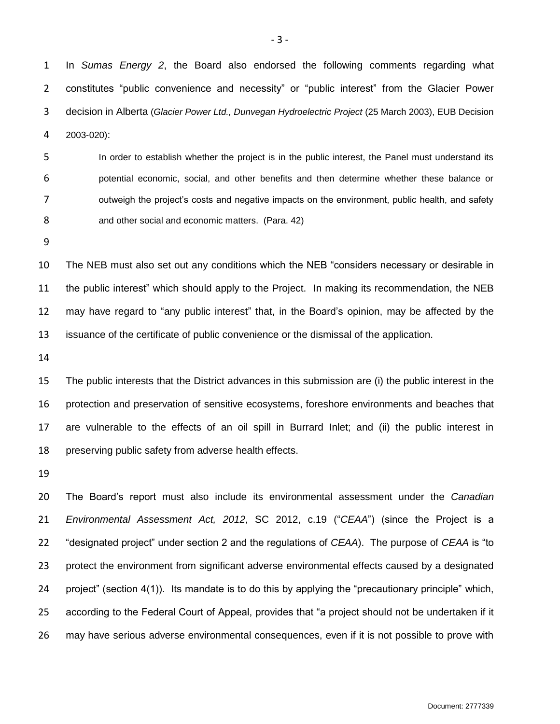In *Sumas Energy 2*, the Board also endorsed the following comments regarding what constitutes "public convenience and necessity" or "public interest" from the Glacier Power decision in Alberta (*Glacier Power Ltd., Dunvegan Hydroelectric Project* (25 March 2003), EUB Decision 2003-020):

 In order to establish whether the project is in the public interest, the Panel must understand its potential economic, social, and other benefits and then determine whether these balance or outweigh the project's costs and negative impacts on the environment, public health, and safety 8 and other social and economic matters. (Para. 42)

 The NEB must also set out any conditions which the NEB "considers necessary or desirable in the public interest" which should apply to the Project. In making its recommendation, the NEB may have regard to "any public interest" that, in the Board's opinion, may be affected by the issuance of the certificate of public convenience or the dismissal of the application.

 The public interests that the District advances in this submission are (i) the public interest in the protection and preservation of sensitive ecosystems, foreshore environments and beaches that are vulnerable to the effects of an oil spill in Burrard Inlet; and (ii) the public interest in preserving public safety from adverse health effects.

 The Board's report must also include its environmental assessment under the *Canadian Environmental Assessment Act, 2012*, SC 2012, c.19 ("*CEAA*") (since the Project is a "designated project" under section 2 and the regulations of *CEAA*). The purpose of *CEAA* is "to protect the environment from significant adverse environmental effects caused by a designated project" (section 4(1)). Its mandate is to do this by applying the "precautionary principle" which, according to the Federal Court of Appeal, provides that "a project should not be undertaken if it may have serious adverse environmental consequences, even if it is not possible to prove with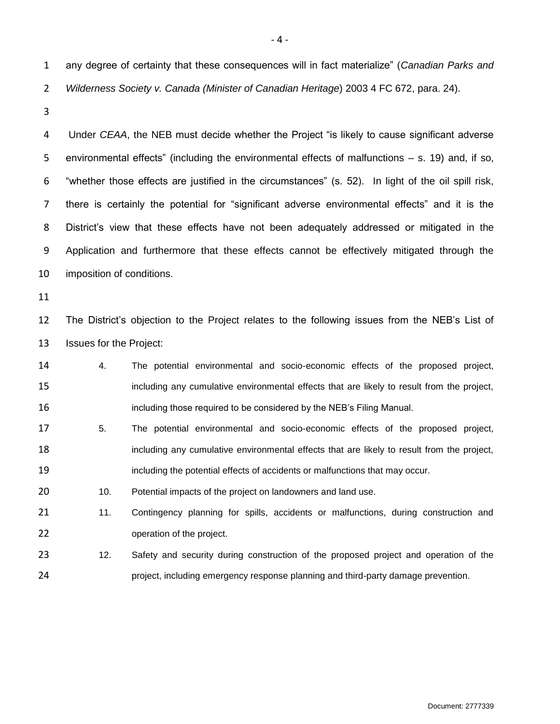any degree of certainty that these consequences will in fact materialize" (*Canadian Parks and Wilderness Society v. Canada (Minister of Canadian Heritage*) 2003 4 FC 672, para. 24).

 Under *CEAA*, the NEB must decide whether the Project "is likely to cause significant adverse environmental effects" (including the environmental effects of malfunctions – s. 19) and, if so, "whether those effects are justified in the circumstances" (s. 52). In light of the oil spill risk, there is certainly the potential for "significant adverse environmental effects" and it is the District's view that these effects have not been adequately addressed or mitigated in the Application and furthermore that these effects cannot be effectively mitigated through the imposition of conditions.

 The District's objection to the Project relates to the following issues from the NEB's List of Issues for the Project:

- 4. The potential environmental and socio-economic effects of the proposed project, 15 including any cumulative environmental effects that are likely to result from the project, **including those required to be considered by the NEB's Filing Manual.**
- 5. The potential environmental and socio-economic effects of the proposed project, 18 including any cumulative environmental effects that are likely to result from the project, including the potential effects of accidents or malfunctions that may occur.

20 10. Potential impacts of the project on landowners and land use.

21 11. Contingency planning for spills, accidents or malfunctions, during construction and operation of the project.

23 12. Safety and security during construction of the proposed project and operation of the project, including emergency response planning and third-party damage prevention.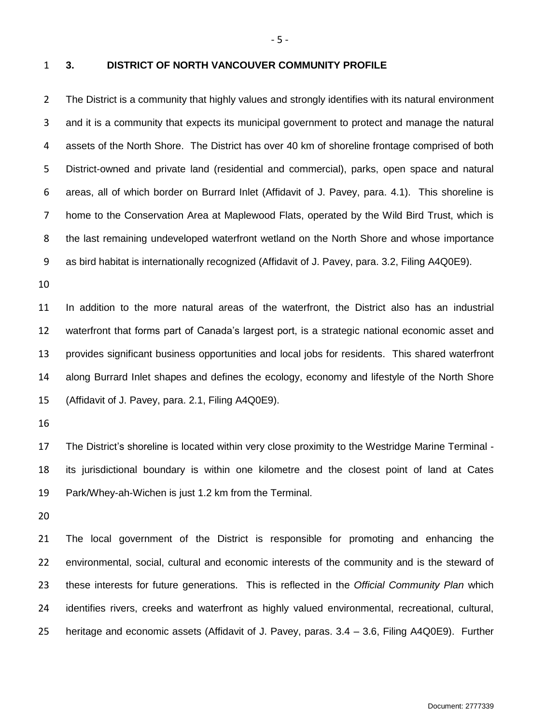<span id="page-6-0"></span>

#### **3. DISTRICT OF NORTH VANCOUVER COMMUNITY PROFILE**

 The District is a community that highly values and strongly identifies with its natural environment and it is a community that expects its municipal government to protect and manage the natural assets of the North Shore. The District has over 40 km of shoreline frontage comprised of both District-owned and private land (residential and commercial), parks, open space and natural areas, all of which border on Burrard Inlet (Affidavit of J. Pavey, para. 4.1). This shoreline is home to the Conservation Area at Maplewood Flats, operated by the Wild Bird Trust, which is the last remaining undeveloped waterfront wetland on the North Shore and whose importance as bird habitat is internationally recognized (Affidavit of J. Pavey, para. 3.2, Filing A4Q0E9).

 In addition to the more natural areas of the waterfront, the District also has an industrial waterfront that forms part of Canada's largest port, is a strategic national economic asset and provides significant business opportunities and local jobs for residents. This shared waterfront along Burrard Inlet shapes and defines the ecology, economy and lifestyle of the North Shore (Affidavit of J. Pavey, para. 2.1, Filing A4Q0E9).

 The District's shoreline is located within very close proximity to the Westridge Marine Terminal - its jurisdictional boundary is within one kilometre and the closest point of land at Cates Park/Whey-ah-Wichen is just 1.2 km from the Terminal.

 The local government of the District is responsible for promoting and enhancing the environmental, social, cultural and economic interests of the community and is the steward of these interests for future generations. This is reflected in the *Official Community Plan* which identifies rivers, creeks and waterfront as highly valued environmental, recreational, cultural, heritage and economic assets (Affidavit of J. Pavey, paras. 3.4 – 3.6, Filing A4Q0E9). Further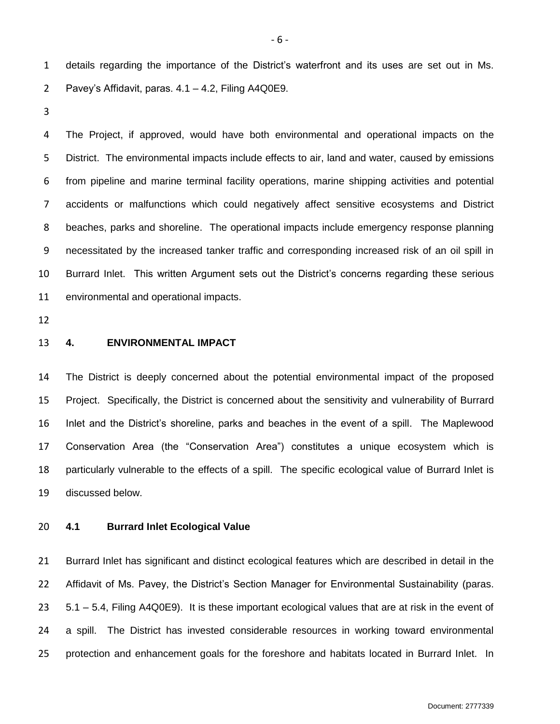details regarding the importance of the District's waterfront and its uses are set out in Ms. Pavey's Affidavit, paras. 4.1 – 4.2, Filing A4Q0E9.

 The Project, if approved, would have both environmental and operational impacts on the District. The environmental impacts include effects to air, land and water, caused by emissions from pipeline and marine terminal facility operations, marine shipping activities and potential accidents or malfunctions which could negatively affect sensitive ecosystems and District beaches, parks and shoreline. The operational impacts include emergency response planning necessitated by the increased tanker traffic and corresponding increased risk of an oil spill in Burrard Inlet. This written Argument sets out the District's concerns regarding these serious environmental and operational impacts.

#### <span id="page-7-0"></span>**4. ENVIRONMENTAL IMPACT**

 The District is deeply concerned about the potential environmental impact of the proposed Project. Specifically, the District is concerned about the sensitivity and vulnerability of Burrard Inlet and the District's shoreline, parks and beaches in the event of a spill. The Maplewood Conservation Area (the "Conservation Area") constitutes a unique ecosystem which is particularly vulnerable to the effects of a spill. The specific ecological value of Burrard Inlet is discussed below.

# <span id="page-7-1"></span>**4.1 Burrard Inlet Ecological Value**

 Burrard Inlet has significant and distinct ecological features which are described in detail in the Affidavit of Ms. Pavey, the District's Section Manager for Environmental Sustainability (paras. 5.1 – 5.4, Filing A4Q0E9). It is these important ecological values that are at risk in the event of a spill. The District has invested considerable resources in working toward environmental protection and enhancement goals for the foreshore and habitats located in Burrard Inlet. In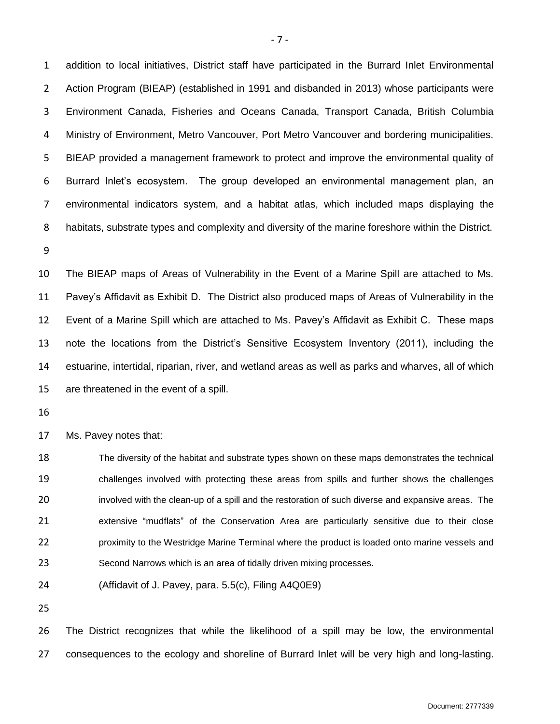addition to local initiatives, District staff have participated in the Burrard Inlet Environmental Action Program (BIEAP) (established in 1991 and disbanded in 2013) whose participants were Environment Canada, Fisheries and Oceans Canada, Transport Canada, British Columbia Ministry of Environment, Metro Vancouver, Port Metro Vancouver and bordering municipalities. BIEAP provided a management framework to protect and improve the environmental quality of Burrard Inlet's ecosystem. The group developed an environmental management plan, an environmental indicators system, and a habitat atlas, which included maps displaying the habitats, substrate types and complexity and diversity of the marine foreshore within the District.

 The BIEAP maps of Areas of Vulnerability in the Event of a Marine Spill are attached to Ms. Pavey's Affidavit as Exhibit D. The District also produced maps of Areas of Vulnerability in the Event of a Marine Spill which are attached to Ms. Pavey's Affidavit as Exhibit C. These maps note the locations from the District's Sensitive Ecosystem Inventory (2011), including the estuarine, intertidal, riparian, river, and wetland areas as well as parks and wharves, all of which are threatened in the event of a spill.

Ms. Pavey notes that:

 The diversity of the habitat and substrate types shown on these maps demonstrates the technical challenges involved with protecting these areas from spills and further shows the challenges involved with the clean-up of a spill and the restoration of such diverse and expansive areas. The extensive "mudflats" of the Conservation Area are particularly sensitive due to their close proximity to the Westridge Marine Terminal where the product is loaded onto marine vessels and Second Narrows which is an area of tidally driven mixing processes.

(Affidavit of J. Pavey, para. 5.5(c), Filing A4Q0E9)

 The District recognizes that while the likelihood of a spill may be low, the environmental consequences to the ecology and shoreline of Burrard Inlet will be very high and long-lasting.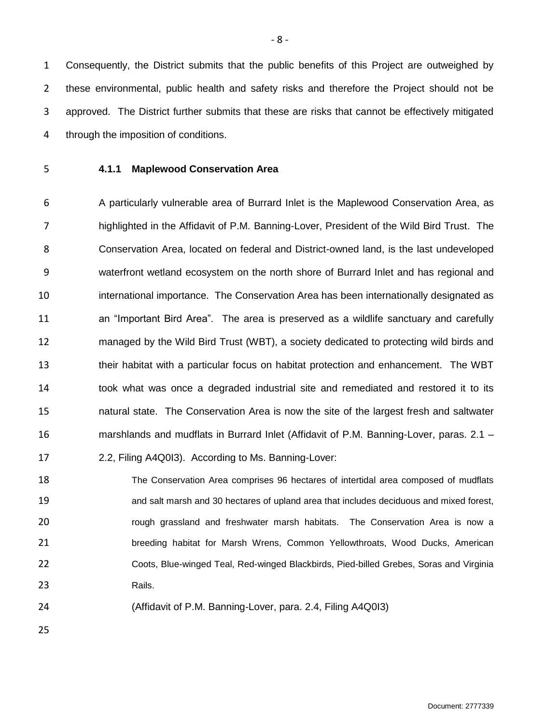Consequently, the District submits that the public benefits of this Project are outweighed by these environmental, public health and safety risks and therefore the Project should not be approved. The District further submits that these are risks that cannot be effectively mitigated through the imposition of conditions.

<span id="page-9-0"></span>

# **4.1.1 Maplewood Conservation Area**

 A particularly vulnerable area of Burrard Inlet is the Maplewood Conservation Area, as highlighted in the Affidavit of P.M. Banning-Lover, President of the Wild Bird Trust. The Conservation Area, located on federal and District-owned land, is the last undeveloped waterfront wetland ecosystem on the north shore of Burrard Inlet and has regional and international importance. The Conservation Area has been internationally designated as an "Important Bird Area". The area is preserved as a wildlife sanctuary and carefully managed by the Wild Bird Trust (WBT), a society dedicated to protecting wild birds and their habitat with a particular focus on habitat protection and enhancement. The WBT took what was once a degraded industrial site and remediated and restored it to its natural state. The Conservation Area is now the site of the largest fresh and saltwater marshlands and mudflats in Burrard Inlet (Affidavit of P.M. Banning-Lover, paras. 2.1 – 2.2, Filing A4Q0I3). According to Ms. Banning-Lover:

 The Conservation Area comprises 96 hectares of intertidal area composed of mudflats and salt marsh and 30 hectares of upland area that includes deciduous and mixed forest, **rough grassland and freshwater marsh habitats.** The Conservation Area is now a breeding habitat for Marsh Wrens, Common Yellowthroats, Wood Ducks, American Coots, Blue-winged Teal, Red-winged Blackbirds, Pied-billed Grebes, Soras and Virginia 23 Rails.

(Affidavit of P.M. Banning-Lover, para. 2.4, Filing A4Q0I3)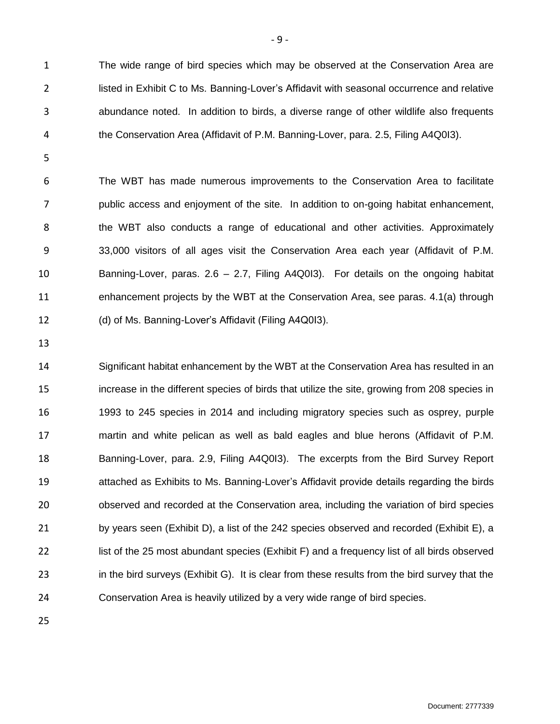The wide range of bird species which may be observed at the Conservation Area are listed in Exhibit C to Ms. Banning-Lover's Affidavit with seasonal occurrence and relative abundance noted. In addition to birds, a diverse range of other wildlife also frequents the Conservation Area (Affidavit of P.M. Banning-Lover, para. 2.5, Filing A4Q0I3).

 The WBT has made numerous improvements to the Conservation Area to facilitate public access and enjoyment of the site. In addition to on-going habitat enhancement, the WBT also conducts a range of educational and other activities. Approximately 33,000 visitors of all ages visit the Conservation Area each year (Affidavit of P.M. Banning-Lover, paras. 2.6 – 2.7, Filing A4Q0I3). For details on the ongoing habitat enhancement projects by the WBT at the Conservation Area, see paras. 4.1(a) through (d) of Ms. Banning-Lover's Affidavit (Filing A4Q0I3).

 Significant habitat enhancement by the WBT at the Conservation Area has resulted in an increase in the different species of birds that utilize the site, growing from 208 species in 1993 to 245 species in 2014 and including migratory species such as osprey, purple martin and white pelican as well as bald eagles and blue herons (Affidavit of P.M. Banning-Lover, para. 2.9, Filing A4Q0I3). The excerpts from the Bird Survey Report attached as Exhibits to Ms. Banning-Lover's Affidavit provide details regarding the birds observed and recorded at the Conservation area, including the variation of bird species 21 by years seen (Exhibit D), a list of the 242 species observed and recorded (Exhibit E), a list of the 25 most abundant species (Exhibit F) and a frequency list of all birds observed in the bird surveys (Exhibit G). It is clear from these results from the bird survey that the Conservation Area is heavily utilized by a very wide range of bird species.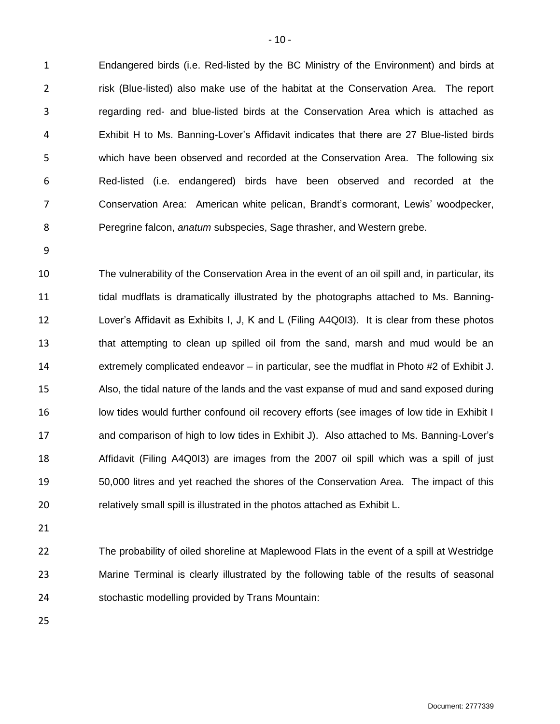Endangered birds (i.e. Red-listed by the BC Ministry of the Environment) and birds at risk (Blue-listed) also make use of the habitat at the Conservation Area. The report regarding red- and blue-listed birds at the Conservation Area which is attached as Exhibit H to Ms. Banning-Lover's Affidavit indicates that there are 27 Blue-listed birds which have been observed and recorded at the Conservation Area. The following six Red-listed (i.e. endangered) birds have been observed and recorded at the Conservation Area: American white pelican, Brandt's cormorant, Lewis' woodpecker, Peregrine falcon, *anatum* subspecies, Sage thrasher, and Western grebe.

 The vulnerability of the Conservation Area in the event of an oil spill and, in particular, its tidal mudflats is dramatically illustrated by the photographs attached to Ms. Banning- Lover's Affidavit as Exhibits I, J, K and L (Filing A4Q0I3). It is clear from these photos that attempting to clean up spilled oil from the sand, marsh and mud would be an extremely complicated endeavor – in particular, see the mudflat in Photo #2 of Exhibit J. Also, the tidal nature of the lands and the vast expanse of mud and sand exposed during 16 low tides would further confound oil recovery efforts (see images of low tide in Exhibit I and comparison of high to low tides in Exhibit J). Also attached to Ms. Banning-Lover's Affidavit (Filing A4Q0I3) are images from the 2007 oil spill which was a spill of just 50,000 litres and yet reached the shores of the Conservation Area. The impact of this relatively small spill is illustrated in the photos attached as Exhibit L.

 The probability of oiled shoreline at Maplewood Flats in the event of a spill at Westridge Marine Terminal is clearly illustrated by the following table of the results of seasonal stochastic modelling provided by Trans Mountain: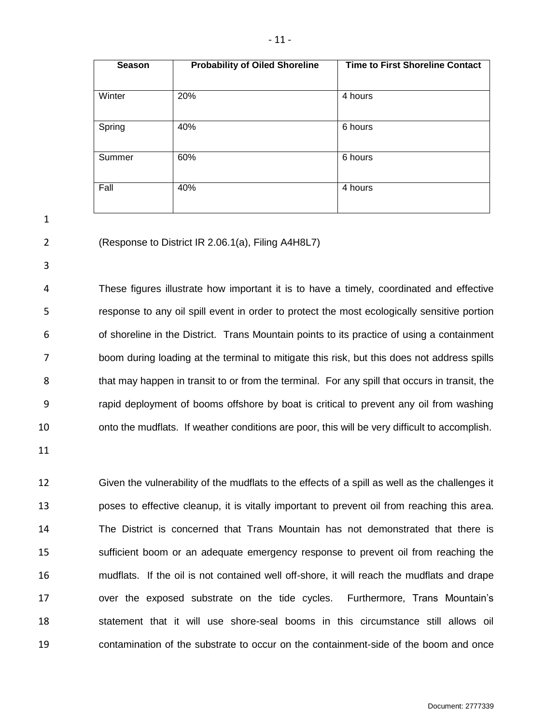| <b>Season</b> | <b>Probability of Oiled Shoreline</b> | <b>Time to First Shoreline Contact</b> |
|---------------|---------------------------------------|----------------------------------------|
|               |                                       |                                        |
| Winter        | 20%                                   | 4 hours                                |
| Spring        | 40%                                   | 6 hours                                |
| Summer        | 60%                                   | 6 hours                                |
| Fall          | 40%                                   | 4 hours                                |

(Response to District IR 2.06.1(a), Filing A4H8L7)

 These figures illustrate how important it is to have a timely, coordinated and effective response to any oil spill event in order to protect the most ecologically sensitive portion of shoreline in the District. Trans Mountain points to its practice of using a containment boom during loading at the terminal to mitigate this risk, but this does not address spills that may happen in transit to or from the terminal. For any spill that occurs in transit, the rapid deployment of booms offshore by boat is critical to prevent any oil from washing onto the mudflats. If weather conditions are poor, this will be very difficult to accomplish.

 Given the vulnerability of the mudflats to the effects of a spill as well as the challenges it poses to effective cleanup, it is vitally important to prevent oil from reaching this area. The District is concerned that Trans Mountain has not demonstrated that there is sufficient boom or an adequate emergency response to prevent oil from reaching the mudflats. If the oil is not contained well off-shore, it will reach the mudflats and drape over the exposed substrate on the tide cycles. Furthermore, Trans Mountain's statement that it will use shore-seal booms in this circumstance still allows oil contamination of the substrate to occur on the containment-side of the boom and once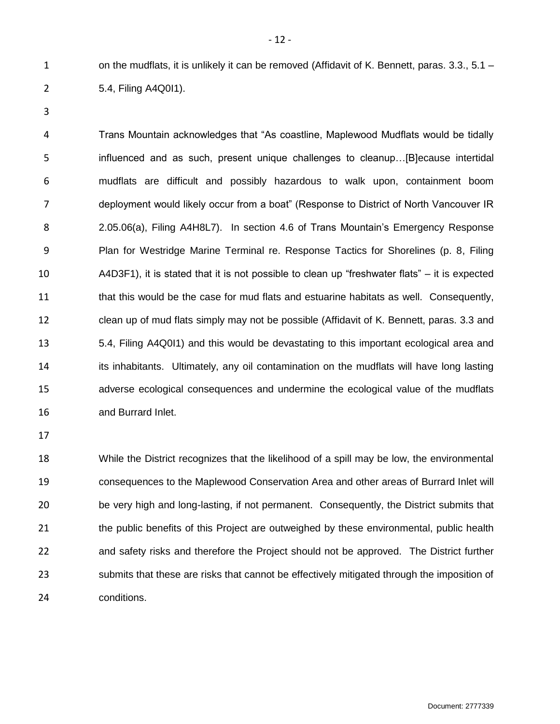1 on the mudflats, it is unlikely it can be removed (Affidavit of K. Bennett, paras. 3.3., 5.1 – 5.4, Filing A4Q0I1).

 Trans Mountain acknowledges that "As coastline, Maplewood Mudflats would be tidally influenced and as such, present unique challenges to cleanup…[B]ecause intertidal mudflats are difficult and possibly hazardous to walk upon, containment boom deployment would likely occur from a boat" (Response to District of North Vancouver IR 2.05.06(a), Filing A4H8L7). In section 4.6 of Trans Mountain's Emergency Response Plan for Westridge Marine Terminal re. Response Tactics for Shorelines (p. 8, Filing A4D3F1), it is stated that it is not possible to clean up "freshwater flats" – it is expected that this would be the case for mud flats and estuarine habitats as well. Consequently, 12 clean up of mud flats simply may not be possible (Affidavit of K. Bennett, paras. 3.3 and 5.4, Filing A4Q0I1) and this would be devastating to this important ecological area and 14 its inhabitants. Ultimately, any oil contamination on the mudflats will have long lasting adverse ecological consequences and undermine the ecological value of the mudflats and Burrard Inlet.

 While the District recognizes that the likelihood of a spill may be low, the environmental consequences to the Maplewood Conservation Area and other areas of Burrard Inlet will be very high and long-lasting, if not permanent. Consequently, the District submits that 21 the public benefits of this Project are outweighed by these environmental, public health and safety risks and therefore the Project should not be approved. The District further submits that these are risks that cannot be effectively mitigated through the imposition of conditions.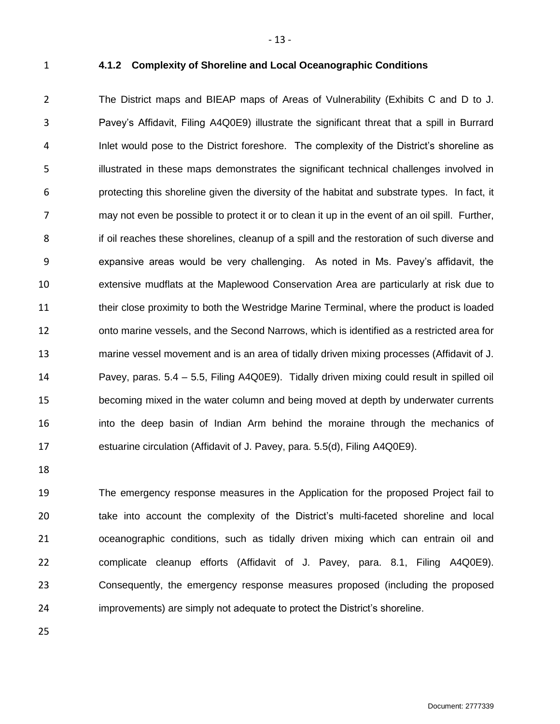<span id="page-14-0"></span>

#### **4.1.2 Complexity of Shoreline and Local Oceanographic Conditions**

- 13 -

 The District maps and BIEAP maps of Areas of Vulnerability (Exhibits C and D to J. Pavey's Affidavit, Filing A4Q0E9) illustrate the significant threat that a spill in Burrard Inlet would pose to the District foreshore. The complexity of the District's shoreline as illustrated in these maps demonstrates the significant technical challenges involved in protecting this shoreline given the diversity of the habitat and substrate types. In fact, it may not even be possible to protect it or to clean it up in the event of an oil spill. Further, if oil reaches these shorelines, cleanup of a spill and the restoration of such diverse and expansive areas would be very challenging. As noted in Ms. Pavey's affidavit, the extensive mudflats at the Maplewood Conservation Area are particularly at risk due to their close proximity to both the Westridge Marine Terminal, where the product is loaded onto marine vessels, and the Second Narrows, which is identified as a restricted area for marine vessel movement and is an area of tidally driven mixing processes (Affidavit of J. Pavey, paras. 5.4 – 5.5, Filing A4Q0E9). Tidally driven mixing could result in spilled oil becoming mixed in the water column and being moved at depth by underwater currents into the deep basin of Indian Arm behind the moraine through the mechanics of estuarine circulation (Affidavit of J. Pavey, para. 5.5(d), Filing A4Q0E9).

 The emergency response measures in the Application for the proposed Project fail to take into account the complexity of the District's multi-faceted shoreline and local oceanographic conditions, such as tidally driven mixing which can entrain oil and complicate cleanup efforts (Affidavit of J. Pavey, para. 8.1, Filing A4Q0E9). Consequently, the emergency response measures proposed (including the proposed improvements) are simply not adequate to protect the District's shoreline.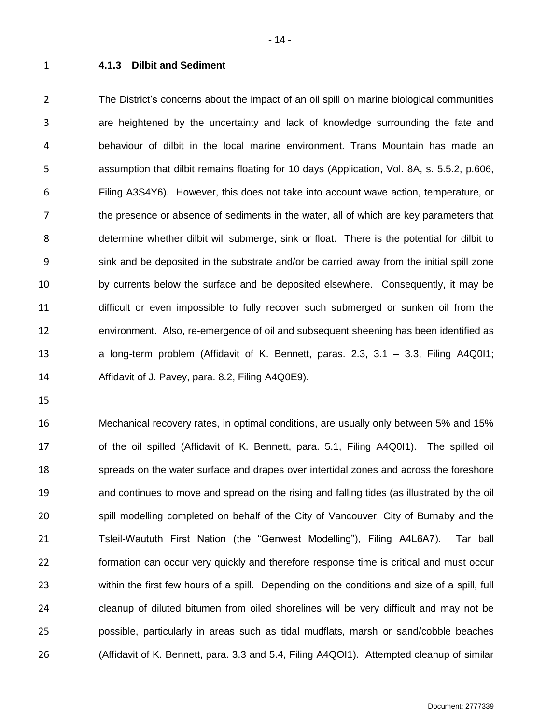<span id="page-15-0"></span>

#### **4.1.3 Dilbit and Sediment**

 The District's concerns about the impact of an oil spill on marine biological communities are heightened by the uncertainty and lack of knowledge surrounding the fate and behaviour of dilbit in the local marine environment. Trans Mountain has made an assumption that dilbit remains floating for 10 days (Application, Vol. 8A, s. 5.5.2, p.606, Filing A3S4Y6). However, this does not take into account wave action, temperature, or the presence or absence of sediments in the water, all of which are key parameters that determine whether dilbit will submerge, sink or float. There is the potential for dilbit to sink and be deposited in the substrate and/or be carried away from the initial spill zone by currents below the surface and be deposited elsewhere. Consequently, it may be difficult or even impossible to fully recover such submerged or sunken oil from the environment. Also, re-emergence of oil and subsequent sheening has been identified as a long-term problem (Affidavit of K. Bennett, paras. 2.3, 3.1 – 3.3, Filing A4Q0I1; Affidavit of J. Pavey, para. 8.2, Filing A4Q0E9).

 Mechanical recovery rates, in optimal conditions, are usually only between 5% and 15% of the oil spilled (Affidavit of K. Bennett, para. 5.1, Filing A4Q0I1). The spilled oil spreads on the water surface and drapes over intertidal zones and across the foreshore and continues to move and spread on the rising and falling tides (as illustrated by the oil spill modelling completed on behalf of the City of Vancouver, City of Burnaby and the Tsleil-Waututh First Nation (the "Genwest Modelling"), Filing A4L6A7). Tar ball formation can occur very quickly and therefore response time is critical and must occur within the first few hours of a spill. Depending on the conditions and size of a spill, full cleanup of diluted bitumen from oiled shorelines will be very difficult and may not be possible, particularly in areas such as tidal mudflats, marsh or sand/cobble beaches (Affidavit of K. Bennett, para. 3.3 and 5.4, Filing A4QOI1). Attempted cleanup of similar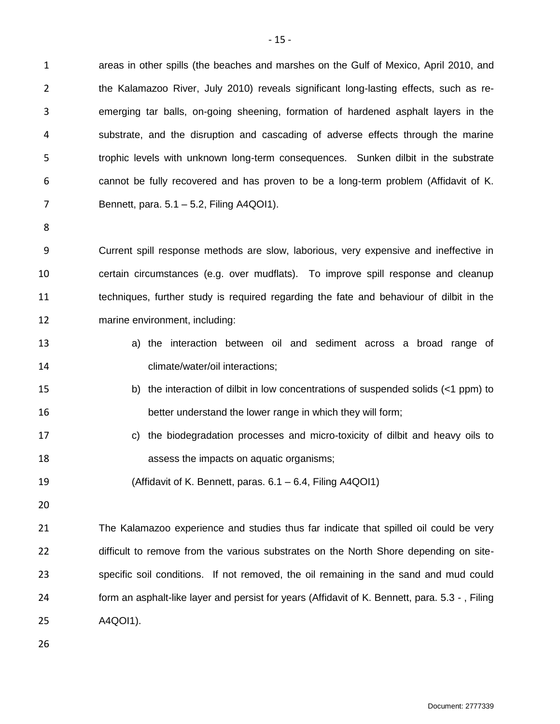areas in other spills (the beaches and marshes on the Gulf of Mexico, April 2010, and 2 the Kalamazoo River, July 2010) reveals significant long-lasting effects, such as re- emerging tar balls, on-going sheening, formation of hardened asphalt layers in the substrate, and the disruption and cascading of adverse effects through the marine trophic levels with unknown long-term consequences. Sunken dilbit in the substrate cannot be fully recovered and has proven to be a long-term problem (Affidavit of K. Bennett, para. 5.1 – 5.2, Filing A4QOI1).

 Current spill response methods are slow, laborious, very expensive and ineffective in certain circumstances (e.g. over mudflats). To improve spill response and cleanup techniques, further study is required regarding the fate and behaviour of dilbit in the marine environment, including:

- a) the interaction between oil and sediment across a broad range of climate/water/oil interactions;
- b) the interaction of dilbit in low concentrations of suspended solids (<1 ppm) to better understand the lower range in which they will form;
- c) the biodegradation processes and micro-toxicity of dilbit and heavy oils to assess the impacts on aquatic organisms;
- (Affidavit of K. Bennett, paras. 6.1 6.4, Filing A4QOI1)
- 

 The Kalamazoo experience and studies thus far indicate that spilled oil could be very difficult to remove from the various substrates on the North Shore depending on site- specific soil conditions. If not removed, the oil remaining in the sand and mud could form an asphalt-like layer and persist for years (Affidavit of K. Bennett, para. 5.3 - , Filing A4QOI1).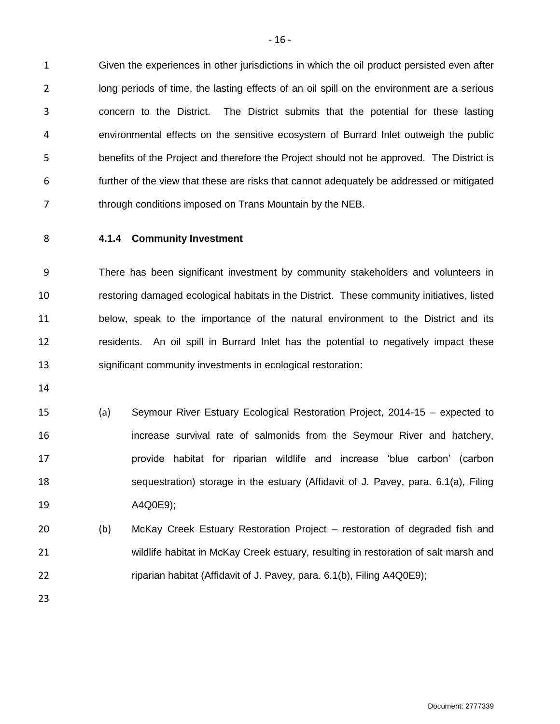Given the experiences in other jurisdictions in which the oil product persisted even after 2 long periods of time, the lasting effects of an oil spill on the environment are a serious concern to the District. The District submits that the potential for these lasting environmental effects on the sensitive ecosystem of Burrard Inlet outweigh the public benefits of the Project and therefore the Project should not be approved. The District is further of the view that these are risks that cannot adequately be addressed or mitigated 7 through conditions imposed on Trans Mountain by the NEB.

<span id="page-17-0"></span>

# **4.1.4 Community Investment**

 There has been significant investment by community stakeholders and volunteers in restoring damaged ecological habitats in the District. These community initiatives, listed below, speak to the importance of the natural environment to the District and its residents. An oil spill in Burrard Inlet has the potential to negatively impact these significant community investments in ecological restoration:

- 
- (a) Seymour River Estuary Ecological Restoration Project, 2014-15 expected to increase survival rate of salmonids from the Seymour River and hatchery, provide habitat for riparian wildlife and increase 'blue carbon' (carbon sequestration) storage in the estuary (Affidavit of J. Pavey, para. 6.1(a), Filing A4Q0E9);
- (b) McKay Creek Estuary Restoration Project restoration of degraded fish and wildlife habitat in McKay Creek estuary, resulting in restoration of salt marsh and 22 riparian habitat (Affidavit of J. Pavey, para. 6.1(b), Filing A4Q0E9);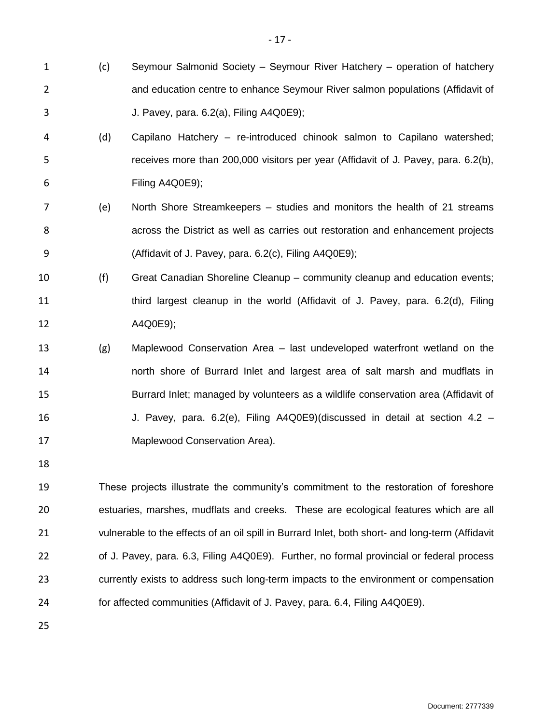- (c) Seymour Salmonid Society Seymour River Hatchery operation of hatchery and education centre to enhance Seymour River salmon populations (Affidavit of J. Pavey, para. 6.2(a), Filing A4Q0E9);
- (d) Capilano Hatchery re-introduced chinook salmon to Capilano watershed; receives more than 200,000 visitors per year (Affidavit of J. Pavey, para. 6.2(b), Filing A4Q0E9);
- (e) North Shore Streamkeepers studies and monitors the health of 21 streams across the District as well as carries out restoration and enhancement projects (Affidavit of J. Pavey, para. 6.2(c), Filing A4Q0E9);
- (f) Great Canadian Shoreline Cleanup community cleanup and education events; third largest cleanup in the world (Affidavit of J. Pavey, para. 6.2(d), Filing A4Q0E9);
- (g) Maplewood Conservation Area last undeveloped waterfront wetland on the north shore of Burrard Inlet and largest area of salt marsh and mudflats in Burrard Inlet; managed by volunteers as a wildlife conservation area (Affidavit of J. Pavey, para. 6.2(e), Filing A4Q0E9)(discussed in detail at section 4.2 – Maplewood Conservation Area).
- 

 These projects illustrate the community's commitment to the restoration of foreshore estuaries, marshes, mudflats and creeks. These are ecological features which are all vulnerable to the effects of an oil spill in Burrard Inlet, both short- and long-term (Affidavit of J. Pavey, para. 6.3, Filing A4Q0E9). Further, no formal provincial or federal process currently exists to address such long-term impacts to the environment or compensation for affected communities (Affidavit of J. Pavey, para. 6.4, Filing A4Q0E9).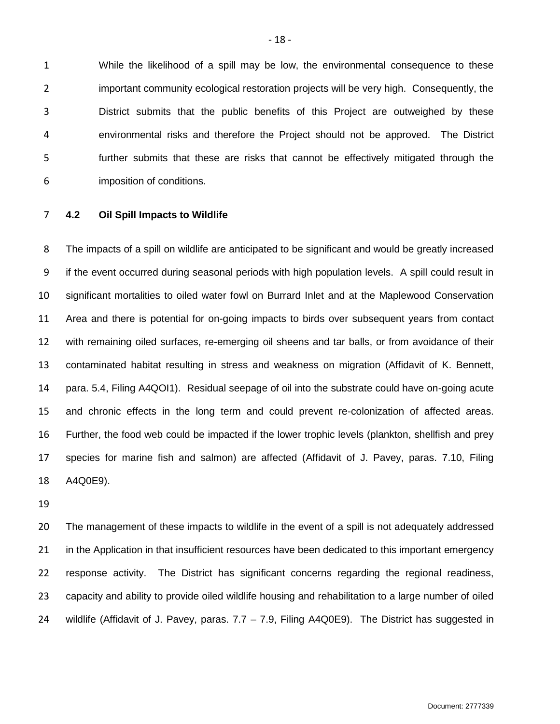While the likelihood of a spill may be low, the environmental consequence to these important community ecological restoration projects will be very high. Consequently, the District submits that the public benefits of this Project are outweighed by these environmental risks and therefore the Project should not be approved. The District further submits that these are risks that cannot be effectively mitigated through the imposition of conditions.

<span id="page-19-0"></span>**4.2 Oil Spill Impacts to Wildlife**

 The impacts of a spill on wildlife are anticipated to be significant and would be greatly increased if the event occurred during seasonal periods with high population levels. A spill could result in significant mortalities to oiled water fowl on Burrard Inlet and at the Maplewood Conservation Area and there is potential for on-going impacts to birds over subsequent years from contact with remaining oiled surfaces, re-emerging oil sheens and tar balls, or from avoidance of their contaminated habitat resulting in stress and weakness on migration (Affidavit of K. Bennett, para. 5.4, Filing A4QOI1). Residual seepage of oil into the substrate could have on-going acute and chronic effects in the long term and could prevent re-colonization of affected areas. Further, the food web could be impacted if the lower trophic levels (plankton, shellfish and prey species for marine fish and salmon) are affected (Affidavit of J. Pavey, paras. 7.10, Filing A4Q0E9).

 The management of these impacts to wildlife in the event of a spill is not adequately addressed 21 in the Application in that insufficient resources have been dedicated to this important emergency response activity. The District has significant concerns regarding the regional readiness, capacity and ability to provide oiled wildlife housing and rehabilitation to a large number of oiled wildlife (Affidavit of J. Pavey, paras. 7.7 – 7.9, Filing A4Q0E9). The District has suggested in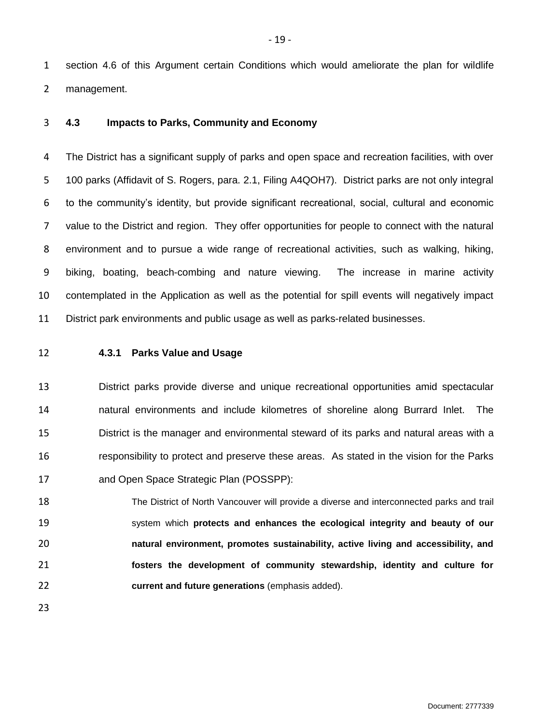section 4.6 of this Argument certain Conditions which would ameliorate the plan for wildlife management.

<span id="page-20-0"></span>**4.3 Impacts to Parks, Community and Economy**

 The District has a significant supply of parks and open space and recreation facilities, with over 100 parks (Affidavit of S. Rogers, para. 2.1, Filing A4QOH7). District parks are not only integral to the community's identity, but provide significant recreational, social, cultural and economic value to the District and region. They offer opportunities for people to connect with the natural environment and to pursue a wide range of recreational activities, such as walking, hiking, biking, boating, beach-combing and nature viewing. The increase in marine activity contemplated in the Application as well as the potential for spill events will negatively impact District park environments and public usage as well as parks-related businesses.

# <span id="page-20-1"></span>**4.3.1 Parks Value and Usage**

 District parks provide diverse and unique recreational opportunities amid spectacular natural environments and include kilometres of shoreline along Burrard Inlet. The District is the manager and environmental steward of its parks and natural areas with a responsibility to protect and preserve these areas. As stated in the vision for the Parks and Open Space Strategic Plan (POSSPP):

 The District of North Vancouver will provide a diverse and interconnected parks and trail system which **protects and enhances the ecological integrity and beauty of our natural environment, promotes sustainability, active living and accessibility, and fosters the development of community stewardship, identity and culture for current and future generations** (emphasis added).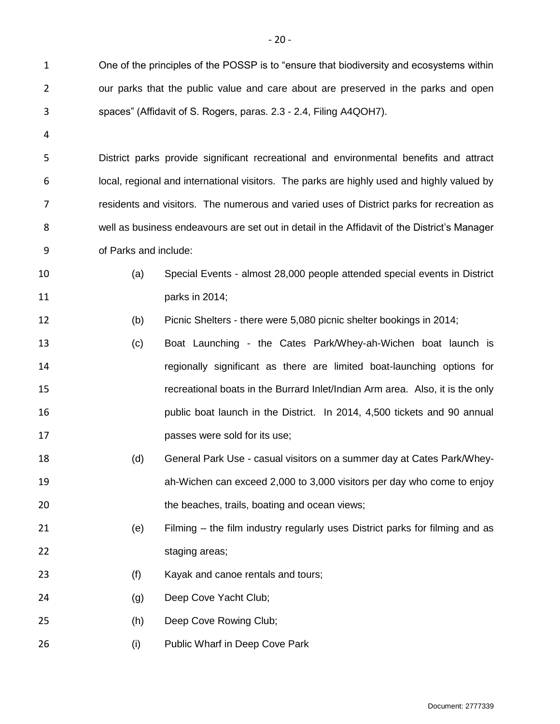One of the principles of the POSSP is to "ensure that biodiversity and ecosystems within our parks that the public value and care about are preserved in the parks and open spaces" (Affidavit of S. Rogers, paras. 2.3 - 2.4, Filing A4QOH7).

 District parks provide significant recreational and environmental benefits and attract local, regional and international visitors. The parks are highly used and highly valued by residents and visitors. The numerous and varied uses of District parks for recreation as well as business endeavours are set out in detail in the Affidavit of the District's Manager of Parks and include:

- (a) Special Events almost 28,000 people attended special events in District parks in 2014;
- (b) Picnic Shelters there were 5,080 picnic shelter bookings in 2014;
- (c) Boat Launching the Cates Park/Whey-ah-Wichen boat launch is regionally significant as there are limited boat-launching options for recreational boats in the Burrard Inlet/Indian Arm area. Also, it is the only public boat launch in the District. In 2014, 4,500 tickets and 90 annual passes were sold for its use;
- (d) General Park Use casual visitors on a summer day at Cates Park/Whey- ah-Wichen can exceed 2,000 to 3,000 visitors per day who come to enjoy 20 the beaches, trails, boating and ocean views;
- (e) Filming the film industry regularly uses District parks for filming and as 22 staging areas;
- (f) Kayak and canoe rentals and tours;
- (g) Deep Cove Yacht Club;
- (h) Deep Cove Rowing Club;
- 26 (i) Public Wharf in Deep Cove Park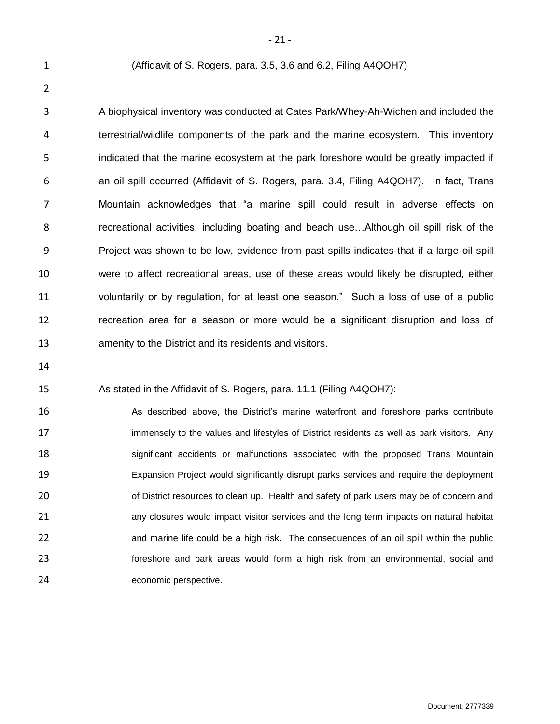(Affidavit of S. Rogers, para. 3.5, 3.6 and 6.2, Filing A4QOH7)

 A biophysical inventory was conducted at Cates Park/Whey-Ah-Wichen and included the terrestrial/wildlife components of the park and the marine ecosystem. This inventory indicated that the marine ecosystem at the park foreshore would be greatly impacted if an oil spill occurred (Affidavit of S. Rogers, para. 3.4, Filing A4QOH7). In fact, Trans Mountain acknowledges that "a marine spill could result in adverse effects on recreational activities, including boating and beach use…Although oil spill risk of the Project was shown to be low, evidence from past spills indicates that if a large oil spill were to affect recreational areas, use of these areas would likely be disrupted, either voluntarily or by regulation, for at least one season." Such a loss of use of a public recreation area for a season or more would be a significant disruption and loss of amenity to the District and its residents and visitors.

#### As stated in the Affidavit of S. Rogers, para. 11.1 (Filing A4QOH7):

 As described above, the District's marine waterfront and foreshore parks contribute 17 immensely to the values and lifestyles of District residents as well as park visitors. Any significant accidents or malfunctions associated with the proposed Trans Mountain Expansion Project would significantly disrupt parks services and require the deployment 20 of District resources to clean up. Health and safety of park users may be of concern and any closures would impact visitor services and the long term impacts on natural habitat and marine life could be a high risk. The consequences of an oil spill within the public foreshore and park areas would form a high risk from an environmental, social and economic perspective.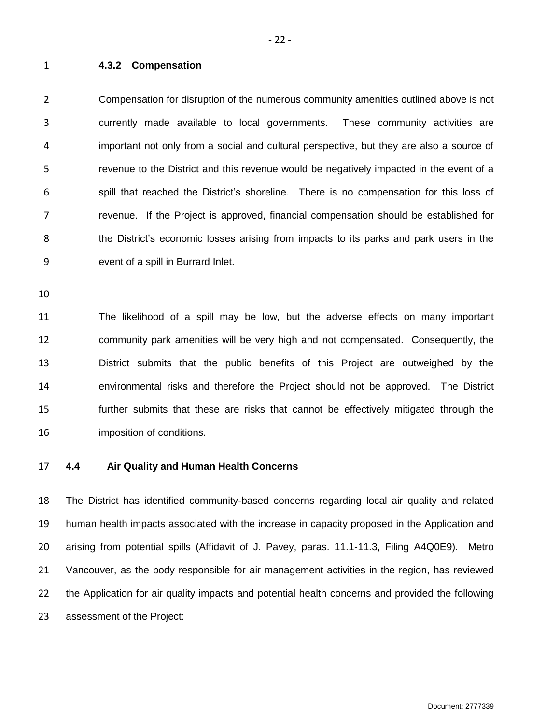<span id="page-23-0"></span>**4.3.2 Compensation**

 Compensation for disruption of the numerous community amenities outlined above is not currently made available to local governments. These community activities are important not only from a social and cultural perspective, but they are also a source of revenue to the District and this revenue would be negatively impacted in the event of a spill that reached the District's shoreline. There is no compensation for this loss of revenue. If the Project is approved, financial compensation should be established for the District's economic losses arising from impacts to its parks and park users in the event of a spill in Burrard Inlet.

 The likelihood of a spill may be low, but the adverse effects on many important community park amenities will be very high and not compensated. Consequently, the District submits that the public benefits of this Project are outweighed by the environmental risks and therefore the Project should not be approved. The District further submits that these are risks that cannot be effectively mitigated through the imposition of conditions.

<span id="page-23-1"></span>

# **4.4 Air Quality and Human Health Concerns**

 The District has identified community-based concerns regarding local air quality and related human health impacts associated with the increase in capacity proposed in the Application and arising from potential spills (Affidavit of J. Pavey, paras. 11.1-11.3, Filing A4Q0E9). Metro Vancouver, as the body responsible for air management activities in the region, has reviewed the Application for air quality impacts and potential health concerns and provided the following assessment of the Project: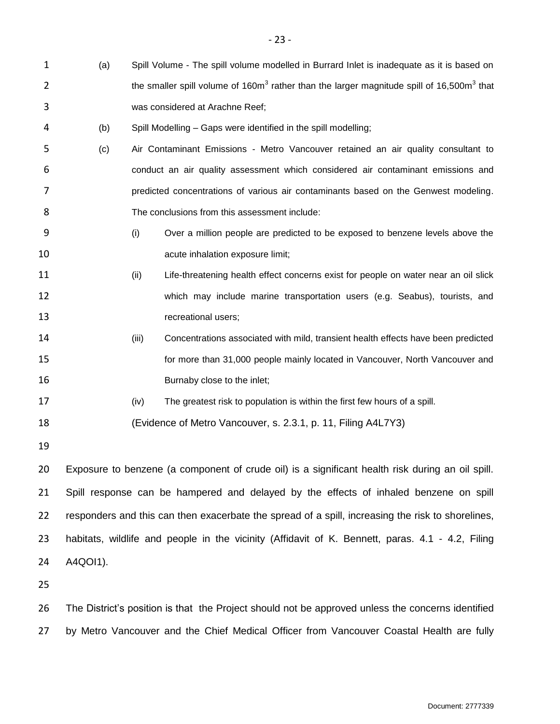- (a) Spill Volume The spill volume modelled in Burrard Inlet is inadequate as it is based on 2 the smaller spill volume of 160 $m<sup>3</sup>$  rather than the larger magnitude spill of 16,500 $m<sup>3</sup>$  that was considered at Arachne Reef;
- (b) Spill Modelling Gaps were identified in the spill modelling;
- (c) Air Contaminant Emissions Metro Vancouver retained an air quality consultant to conduct an air quality assessment which considered air contaminant emissions and predicted concentrations of various air contaminants based on the Genwest modeling. The conclusions from this assessment include:
- (i) Over a million people are predicted to be exposed to benzene levels above the **10 acute inhalation exposure limit**;
- (ii) Life-threatening health effect concerns exist for people on water near an oil slick which may include marine transportation users (e.g. Seabus), tourists, and **13** recreational users;
- 14 (iii) Concentrations associated with mild, transient health effects have been predicted for more than 31,000 people mainly located in Vancouver, North Vancouver and 16 Burnaby close to the inlet;
- (iv) The greatest risk to population is within the first few hours of a spill.

(Evidence of Metro Vancouver, s. 2.3.1, p. 11, Filing A4L7Y3)

 Exposure to benzene (a component of crude oil) is a significant health risk during an oil spill. Spill response can be hampered and delayed by the effects of inhaled benzene on spill responders and this can then exacerbate the spread of a spill, increasing the risk to shorelines, habitats, wildlife and people in the vicinity (Affidavit of K. Bennett, paras. 4.1 - 4.2, Filing A4QOI1).

26 The District's position is that the Project should not be approved unless the concerns identified by Metro Vancouver and the Chief Medical Officer from Vancouver Coastal Health are fully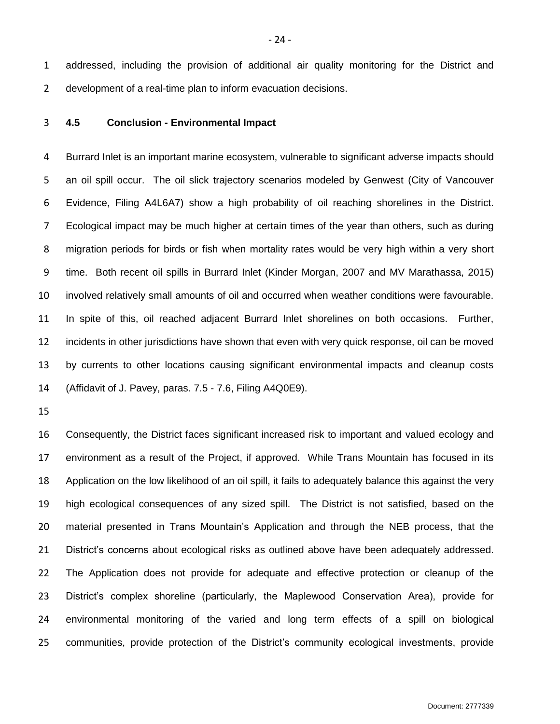addressed, including the provision of additional air quality monitoring for the District and development of a real-time plan to inform evacuation decisions.

<span id="page-25-0"></span>**4.5 Conclusion - Environmental Impact**

 Burrard Inlet is an important marine ecosystem, vulnerable to significant adverse impacts should an oil spill occur. The oil slick trajectory scenarios modeled by Genwest (City of Vancouver Evidence, Filing A4L6A7) show a high probability of oil reaching shorelines in the District. Ecological impact may be much higher at certain times of the year than others, such as during migration periods for birds or fish when mortality rates would be very high within a very short time. Both recent oil spills in Burrard Inlet (Kinder Morgan, 2007 and MV Marathassa, 2015) involved relatively small amounts of oil and occurred when weather conditions were favourable. In spite of this, oil reached adjacent Burrard Inlet shorelines on both occasions. Further, incidents in other jurisdictions have shown that even with very quick response, oil can be moved by currents to other locations causing significant environmental impacts and cleanup costs (Affidavit of J. Pavey, paras. 7.5 - 7.6, Filing A4Q0E9).

 Consequently, the District faces significant increased risk to important and valued ecology and environment as a result of the Project, if approved. While Trans Mountain has focused in its Application on the low likelihood of an oil spill, it fails to adequately balance this against the very high ecological consequences of any sized spill. The District is not satisfied, based on the material presented in Trans Mountain's Application and through the NEB process, that the District's concerns about ecological risks as outlined above have been adequately addressed. The Application does not provide for adequate and effective protection or cleanup of the District's complex shoreline (particularly, the Maplewood Conservation Area), provide for environmental monitoring of the varied and long term effects of a spill on biological communities, provide protection of the District's community ecological investments, provide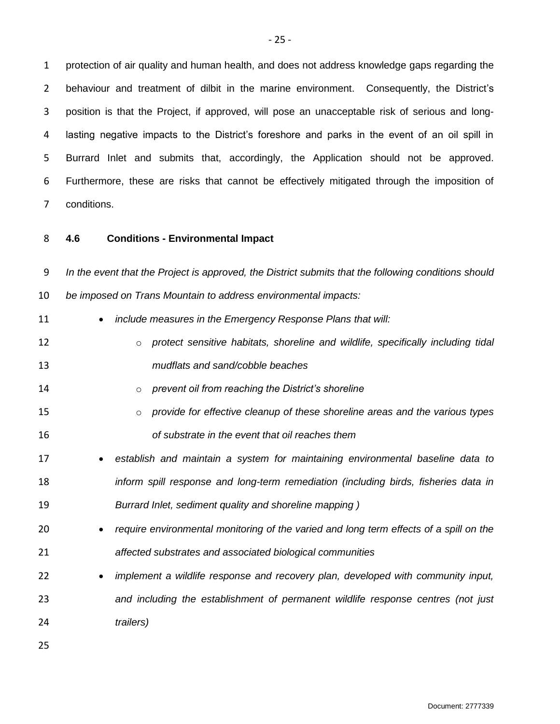protection of air quality and human health, and does not address knowledge gaps regarding the behaviour and treatment of dilbit in the marine environment. Consequently, the District's position is that the Project, if approved, will pose an unacceptable risk of serious and long- lasting negative impacts to the District's foreshore and parks in the event of an oil spill in Burrard Inlet and submits that, accordingly, the Application should not be approved. Furthermore, these are risks that cannot be effectively mitigated through the imposition of conditions.

<span id="page-26-0"></span>

# **4.6 Conditions - Environmental Impact**

 *In the event that the Project is approved, the District submits that the following conditions should be imposed on Trans Mountain to address environmental impacts:*

- *include measures in the Emergency Response Plans that will:*
- 12 **b** *protect sensitive habitats, shoreline and wildlife, specifically including tidal* $\overline{a}$ *mudflats and sand/cobble beaches*
- o *prevent oil from reaching the District's shoreline*
- o *provide for effective cleanup of these shoreline areas and the various types of substrate in the event that oil reaches them*
- *establish and maintain a system for maintaining environmental baseline data to inform spill response and long-term remediation (including birds, fisheries data in Burrard Inlet, sediment quality and shoreline mapping )*
- *require environmental monitoring of the varied and long term effects of a spill on the affected substrates and associated biological communities*
- *implement a wildlife response and recovery plan, developed with community input, and including the establishment of permanent wildlife response centres (not just trailers)*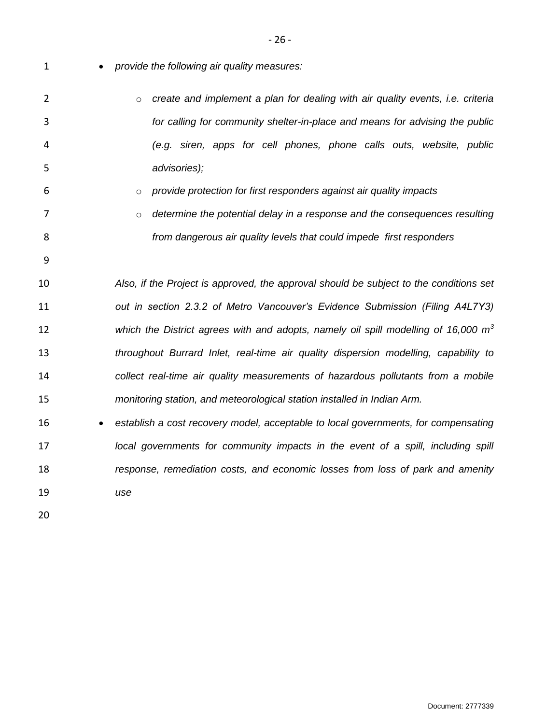- *provide the following air quality measures:*
- o *create and implement a plan for dealing with air quality events, i.e. criteria for calling for community shelter-in-place and means for advising the public (e.g. siren, apps for cell phones, phone calls outs, website, public advisories);*
- o *provide protection for first responders against air quality impacts*
- **b** *o* determine the potential delay in a response and the consequences resulting *from dangerous air quality levels that could impede first responders*
- *Also, if the Project is approved, the approval should be subject to the conditions set out in section 2.3.2 of Metro Vancouver's Evidence Submission (Filing A4L7Y3) which the District agrees with and adopts, namely oil spill modelling of 16,000 m<sup>3</sup> throughout Burrard Inlet, real-time air quality dispersion modelling, capability to collect real-time air quality measurements of hazardous pollutants from a mobile monitoring station, and meteorological station installed in Indian Arm.*
- <span id="page-27-0"></span> *establish a cost recovery model, acceptable to local governments, for compensating local governments for community impacts in the event of a spill, including spill response, remediation costs, and economic losses from loss of park and amenity use*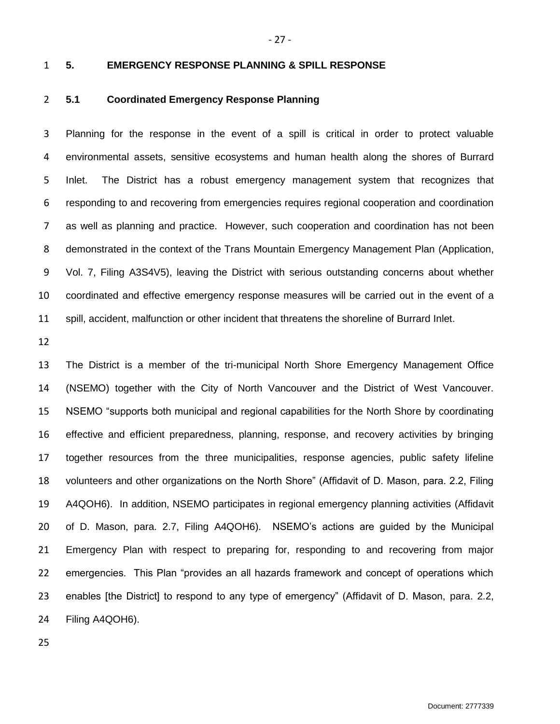# **5. EMERGENCY RESPONSE PLANNING & SPILL RESPONSE**

# <span id="page-28-0"></span>**5.1 Coordinated Emergency Response Planning**

 Planning for the response in the event of a spill is critical in order to protect valuable environmental assets, sensitive ecosystems and human health along the shores of Burrard Inlet. The District has a robust emergency management system that recognizes that responding to and recovering from emergencies requires regional cooperation and coordination as well as planning and practice. However, such cooperation and coordination has not been demonstrated in the context of the Trans Mountain Emergency Management Plan (Application, Vol. 7, Filing A3S4V5), leaving the District with serious outstanding concerns about whether coordinated and effective emergency response measures will be carried out in the event of a spill, accident, malfunction or other incident that threatens the shoreline of Burrard Inlet.

 The District is a member of the tri-municipal North Shore Emergency Management Office (NSEMO) together with the City of North Vancouver and the District of West Vancouver. NSEMO "supports both municipal and regional capabilities for the North Shore by coordinating effective and efficient preparedness, planning, response, and recovery activities by bringing together resources from the three municipalities, response agencies, public safety lifeline volunteers and other organizations on the North Shore" (Affidavit of D. Mason, para. 2.2, Filing A4QOH6). In addition, NSEMO participates in regional emergency planning activities (Affidavit of D. Mason, para. 2.7, Filing A4QOH6). NSEMO's actions are guided by the Municipal Emergency Plan with respect to preparing for, responding to and recovering from major emergencies. This Plan "provides an all hazards framework and concept of operations which enables [the District] to respond to any type of emergency" (Affidavit of D. Mason, para. 2.2, Filing A4QOH6).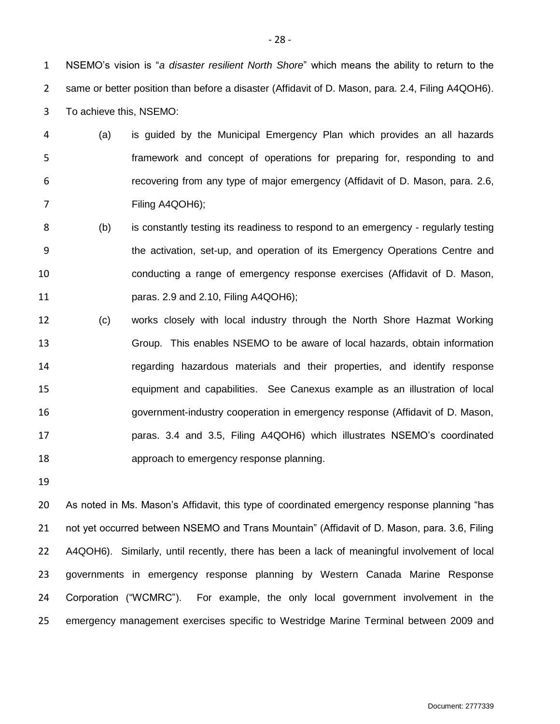NSEMO's vision is "*a disaster resilient North Shore*" which means the ability to return to the same or better position than before a disaster (Affidavit of D. Mason, para. 2.4, Filing A4QOH6). To achieve this, NSEMO:

- (a) is guided by the Municipal Emergency Plan which provides an all hazards framework and concept of operations for preparing for, responding to and recovering from any type of major emergency (Affidavit of D. Mason, para. 2.6, Filing A4QOH6);
- (b) is constantly testing its readiness to respond to an emergency regularly testing the activation, set-up, and operation of its Emergency Operations Centre and conducting a range of emergency response exercises (Affidavit of D. Mason, paras. 2.9 and 2.10, Filing A4QOH6);
- (c) works closely with local industry through the North Shore Hazmat Working Group. This enables NSEMO to be aware of local hazards, obtain information regarding hazardous materials and their properties, and identify response equipment and capabilities. See Canexus example as an illustration of local government-industry cooperation in emergency response (Affidavit of D. Mason, paras. 3.4 and 3.5, Filing A4QOH6) which illustrates NSEMO's coordinated approach to emergency response planning.
- 

 As noted in Ms. Mason's Affidavit, this type of coordinated emergency response planning "has 21 not yet occurred between NSEMO and Trans Mountain" (Affidavit of D. Mason, para. 3.6, Filing A4QOH6). Similarly, until recently, there has been a lack of meaningful involvement of local governments in emergency response planning by Western Canada Marine Response Corporation ("WCMRC"). For example, the only local government involvement in the emergency management exercises specific to Westridge Marine Terminal between 2009 and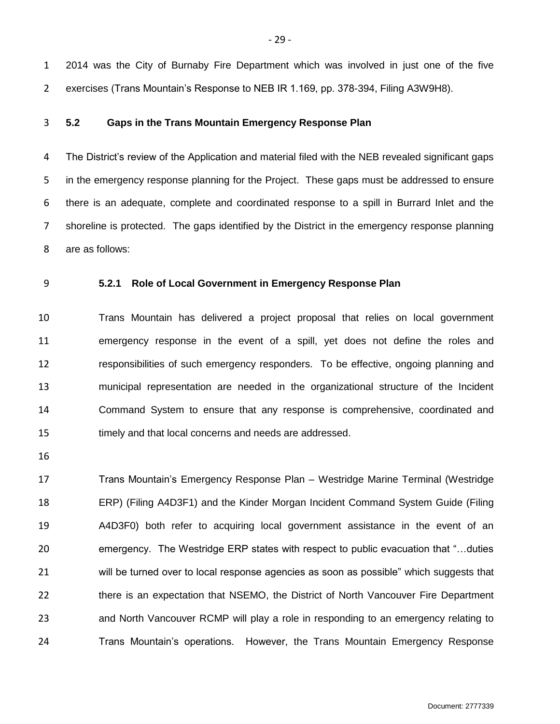2014 was the City of Burnaby Fire Department which was involved in just one of the five exercises (Trans Mountain's Response to NEB IR 1.169, pp. 378-394, Filing A3W9H8).

<span id="page-30-0"></span>**5.2 Gaps in the Trans Mountain Emergency Response Plan**

 The District's review of the Application and material filed with the NEB revealed significant gaps in the emergency response planning for the Project. These gaps must be addressed to ensure there is an adequate, complete and coordinated response to a spill in Burrard Inlet and the shoreline is protected. The gaps identified by the District in the emergency response planning are as follows:

<span id="page-30-1"></span>**5.2.1 Role of Local Government in Emergency Response Plan**

 Trans Mountain has delivered a project proposal that relies on local government emergency response in the event of a spill, yet does not define the roles and responsibilities of such emergency responders. To be effective, ongoing planning and municipal representation are needed in the organizational structure of the Incident Command System to ensure that any response is comprehensive, coordinated and timely and that local concerns and needs are addressed.

 Trans Mountain's Emergency Response Plan – Westridge Marine Terminal (Westridge ERP) (Filing A4D3F1) and the Kinder Morgan Incident Command System Guide (Filing A4D3F0) both refer to acquiring local government assistance in the event of an emergency. The Westridge ERP states with respect to public evacuation that "…duties will be turned over to local response agencies as soon as possible" which suggests that there is an expectation that NSEMO, the District of North Vancouver Fire Department and North Vancouver RCMP will play a role in responding to an emergency relating to Trans Mountain's operations. However, the Trans Mountain Emergency Response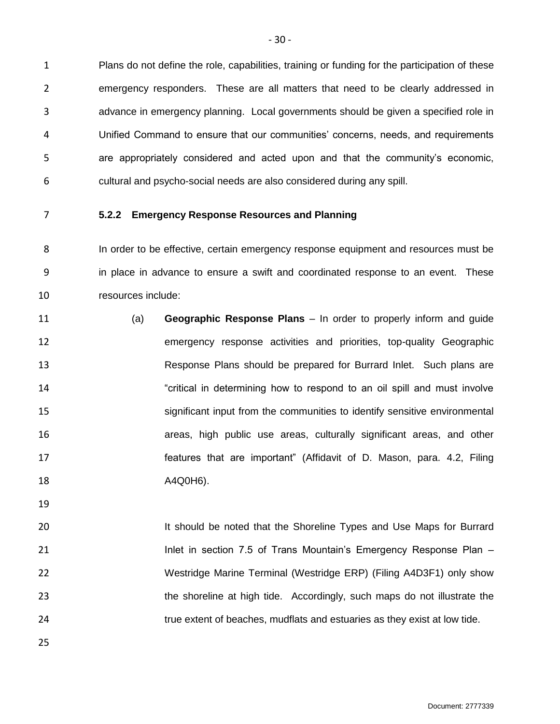Plans do not define the role, capabilities, training or funding for the participation of these emergency responders. These are all matters that need to be clearly addressed in advance in emergency planning. Local governments should be given a specified role in Unified Command to ensure that our communities' concerns, needs, and requirements are appropriately considered and acted upon and that the community's economic, cultural and psycho-social needs are also considered during any spill.

<span id="page-31-0"></span>

# **5.2.2 Emergency Response Resources and Planning**

 In order to be effective, certain emergency response equipment and resources must be in place in advance to ensure a swift and coordinated response to an event. These resources include:

- (a) **Geographic Response Plans** In order to properly inform and guide emergency response activities and priorities, top-quality Geographic Response Plans should be prepared for Burrard Inlet. Such plans are "critical in determining how to respond to an oil spill and must involve significant input from the communities to identify sensitive environmental areas, high public use areas, culturally significant areas, and other features that are important" (Affidavit of D. Mason, para. 4.2, Filing A4Q0H6).
- 20 11 120 It should be noted that the Shoreline Types and Use Maps for Burrard

**Inlet in section 7.5 of Trans Mountain's Emergency Response Plan** – Westridge Marine Terminal (Westridge ERP) (Filing A4D3F1) only show the shoreline at high tide. Accordingly, such maps do not illustrate the true extent of beaches, mudflats and estuaries as they exist at low tide.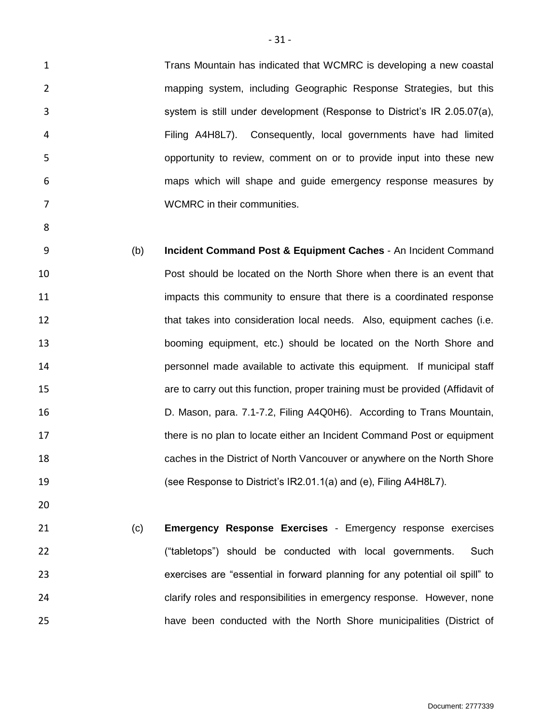1 Trans Mountain has indicated that WCMRC is developing a new coastal mapping system, including Geographic Response Strategies, but this system is still under development (Response to District's IR 2.05.07(a), Filing A4H8L7). Consequently, local governments have had limited opportunity to review, comment on or to provide input into these new maps which will shape and guide emergency response measures by WCMRC in their communities.

 (b) **Incident Command Post & Equipment Caches** - An Incident Command Post should be located on the North Shore when there is an event that impacts this community to ensure that there is a coordinated response 12 that takes into consideration local needs. Also, equipment caches (i.e. booming equipment, etc.) should be located on the North Shore and personnel made available to activate this equipment. If municipal staff are to carry out this function, proper training must be provided (Affidavit of D. Mason, para. 7.1-7.2, Filing A4Q0H6). According to Trans Mountain, 17 there is no plan to locate either an Incident Command Post or equipment caches in the District of North Vancouver or anywhere on the North Shore (see Response to District's IR2.01.1(a) and (e), Filing A4H8L7).

 (c) **Emergency Response Exercises** - Emergency response exercises ("tabletops") should be conducted with local governments. Such exercises are "essential in forward planning for any potential oil spill" to clarify roles and responsibilities in emergency response. However, none have been conducted with the North Shore municipalities (District of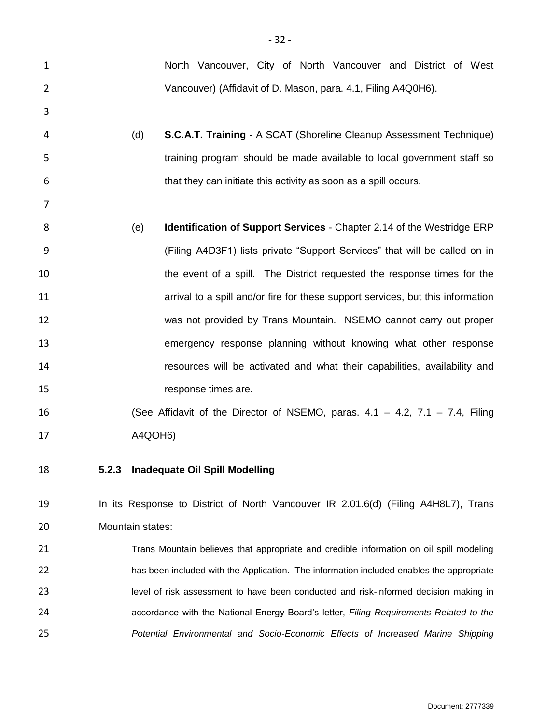<span id="page-33-0"></span>

| $\mathbf{1}$   | North Vancouver, City of North Vancouver and District of West                            |
|----------------|------------------------------------------------------------------------------------------|
| $\overline{2}$ | Vancouver) (Affidavit of D. Mason, para. 4.1, Filing A4Q0H6).                            |
| 3              |                                                                                          |
| 4              | <b>S.C.A.T. Training - A SCAT (Shoreline Cleanup Assessment Technique)</b><br>(d)        |
| 5              | training program should be made available to local government staff so                   |
| 6              | that they can initiate this activity as soon as a spill occurs.                          |
| 7              |                                                                                          |
| 8              | (e)<br><b>Identification of Support Services - Chapter 2.14 of the Westridge ERP</b>     |
| 9              | (Filing A4D3F1) lists private "Support Services" that will be called on in               |
| 10             | the event of a spill. The District requested the response times for the                  |
| 11             | arrival to a spill and/or fire for these support services, but this information          |
| 12             | was not provided by Trans Mountain. NSEMO cannot carry out proper                        |
| 13             | emergency response planning without knowing what other response                          |
| 14             | resources will be activated and what their capabilities, availability and                |
| 15             | response times are.                                                                      |
| 16             | (See Affidavit of the Director of NSEMO, paras. $4.1 - 4.2$ , $7.1 - 7.4$ , Filing       |
| 17             | A4QOH6)                                                                                  |
| 18             | 5.2.3<br><b>Inadequate Oil Spill Modelling</b>                                           |
| 19             | In its Response to District of North Vancouver IR 2.01.6(d) (Filing A4H8L7), Trans       |
| 20             | Mountain states:                                                                         |
| 21             | Trans Mountain believes that appropriate and credible information on oil spill modeling  |
| 22             | has been included with the Application. The information included enables the appropriate |
| 23             | level of risk assessment to have been conducted and risk-informed decision making in     |
| 24             | accordance with the National Energy Board's letter, Filing Requirements Related to the   |
| 25             | Potential Environmental and Socio-Economic Effects of Increased Marine Shipping          |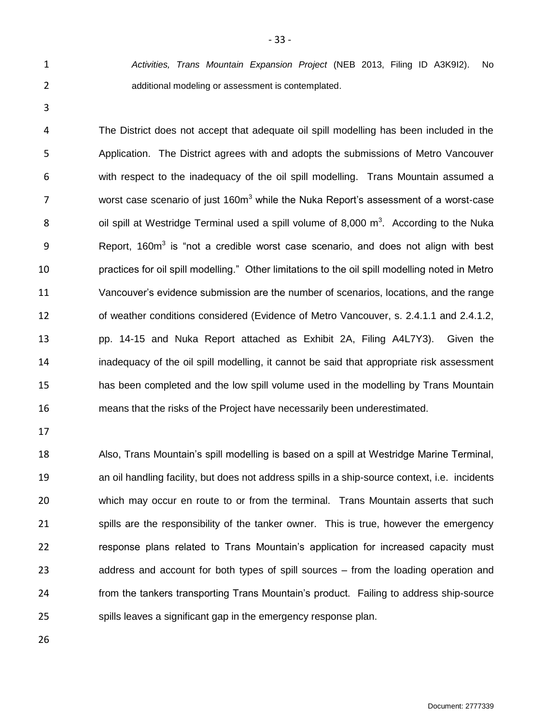*Activities, Trans Mountain Expansion Project* (NEB 2013, Filing ID A3K9I2). No additional modeling or assessment is contemplated.

- 33 -

 The District does not accept that adequate oil spill modelling has been included in the Application. The District agrees with and adopts the submissions of Metro Vancouver with respect to the inadequacy of the oil spill modelling. Trans Mountain assumed a 7 worst case scenario of just  $160m<sup>3</sup>$  while the Nuka Report's assessment of a worst-case 8 688 6 0 is spill at Westridge Terminal used a spill volume of 8,000  $\text{m}^3$ . According to the Nuka 9 Report, 160m<sup>3</sup> is "not a credible worst case scenario, and does not align with best practices for oil spill modelling." Other limitations to the oil spill modelling noted in Metro Vancouver's evidence submission are the number of scenarios, locations, and the range of weather conditions considered (Evidence of Metro Vancouver, s. 2.4.1.1 and 2.4.1.2, pp. 14-15 and Nuka Report attached as Exhibit 2A, Filing A4L7Y3). Given the inadequacy of the oil spill modelling, it cannot be said that appropriate risk assessment has been completed and the low spill volume used in the modelling by Trans Mountain means that the risks of the Project have necessarily been underestimated.

 Also, Trans Mountain's spill modelling is based on a spill at Westridge Marine Terminal, an oil handling facility, but does not address spills in a ship-source context, i.e. incidents which may occur en route to or from the terminal. Trans Mountain asserts that such spills are the responsibility of the tanker owner. This is true, however the emergency response plans related to Trans Mountain's application for increased capacity must address and account for both types of spill sources – from the loading operation and from the tankers transporting Trans Mountain's product. Failing to address ship-source spills leaves a significant gap in the emergency response plan.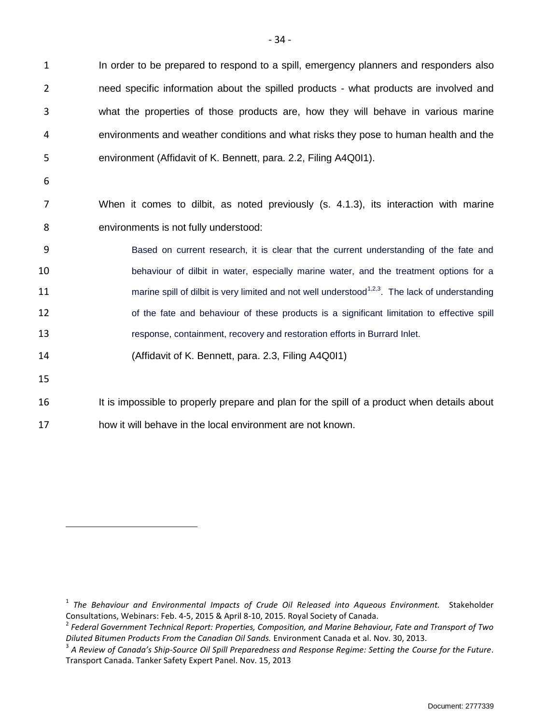In order to be prepared to respond to a spill, emergency planners and responders also 2 need specific information about the spilled products - what products are involved and what the properties of those products are, how they will behave in various marine environments and weather conditions and what risks they pose to human health and the environment (Affidavit of K. Bennett, para. 2.2, Filing A4Q0I1).

6

7 When it comes to dilbit, as noted previously (s. 4.1.3), its interaction with marine 8 environments is not fully understood:

 Based on current research, it is clear that the current understanding of the fate and behaviour of dilbit in water, especially marine water, and the treatment options for a **number 1** marine spill of dilbit is very limited and not well understood<sup>1,2,3</sup>. The lack of understanding 12 of the fate and behaviour of these products is a significant limitation to effective spill response, containment, recovery and restoration efforts in Burrard Inlet.

14 (Affidavit of K. Bennett, para. 2.3, Filing A4Q0I1)

15

 $\overline{a}$ 

16 It is impossible to properly prepare and plan for the spill of a product when details about

17 how it will behave in the local environment are not known.

<sup>&</sup>lt;sup>1</sup> The Behaviour and Environmental Impacts of Crude Oil Released into Aqueous Environment. Stakeholder Consultations, Webinars: Feb. 4-5, 2015 & April 8-10, 2015. Royal Society of Canada.

<sup>2</sup> *Federal Government Technical Report: Properties, Composition, and Marine Behaviour, Fate and Transport of Two Diluted Bitumen Products From the Canadian Oil Sands.* Environment Canada et al. Nov. 30, 2013.

<sup>3</sup> *A Review of Canada's Ship-Source Oil Spill Preparedness and Response Regime: Setting the Course for the Future*. Transport Canada. Tanker Safety Expert Panel. Nov. 15, 2013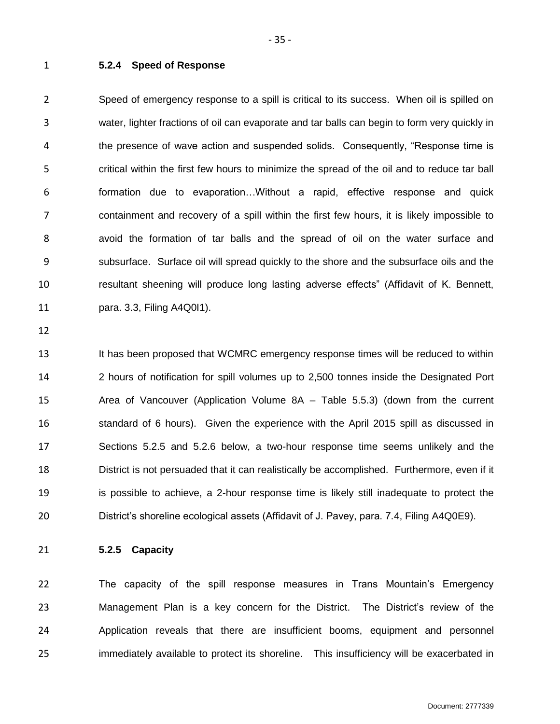#### <span id="page-36-0"></span>**5.2.4 Speed of Response**

 Speed of emergency response to a spill is critical to its success. When oil is spilled on water, lighter fractions of oil can evaporate and tar balls can begin to form very quickly in the presence of wave action and suspended solids. Consequently, "Response time is critical within the first few hours to minimize the spread of the oil and to reduce tar ball formation due to evaporation…Without a rapid, effective response and quick containment and recovery of a spill within the first few hours, it is likely impossible to avoid the formation of tar balls and the spread of oil on the water surface and subsurface. Surface oil will spread quickly to the shore and the subsurface oils and the resultant sheening will produce long lasting adverse effects" (Affidavit of K. Bennett, para. 3.3, Filing A4Q0I1).

 It has been proposed that WCMRC emergency response times will be reduced to within 2 hours of notification for spill volumes up to 2,500 tonnes inside the Designated Port Area of Vancouver (Application Volume 8A – Table 5.5.3) (down from the current standard of 6 hours). Given the experience with the April 2015 spill as discussed in Sections 5.2.5 and 5.2.6 below, a two-hour response time seems unlikely and the District is not persuaded that it can realistically be accomplished. Furthermore, even if it is possible to achieve, a 2-hour response time is likely still inadequate to protect the District's shoreline ecological assets (Affidavit of J. Pavey, para. 7.4, Filing A4Q0E9).

<span id="page-36-1"></span>**5.2.5 Capacity** 

 The capacity of the spill response measures in Trans Mountain's Emergency Management Plan is a key concern for the District. The District's review of the Application reveals that there are insufficient booms, equipment and personnel immediately available to protect its shoreline. This insufficiency will be exacerbated in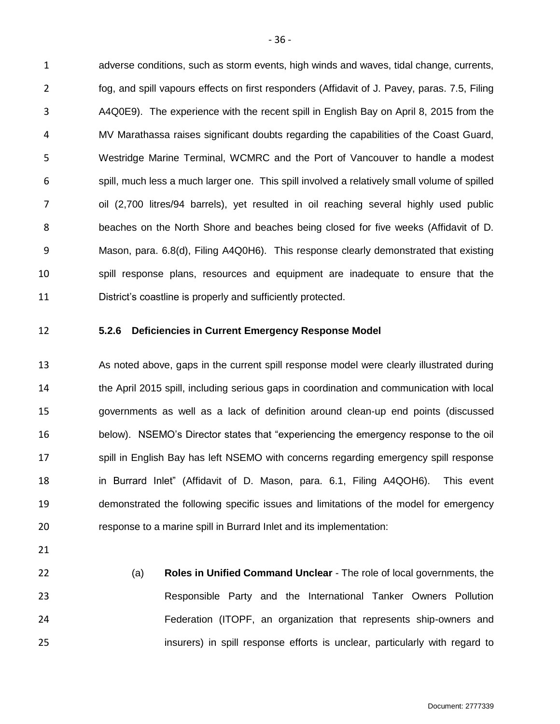adverse conditions, such as storm events, high winds and waves, tidal change, currents, fog, and spill vapours effects on first responders (Affidavit of J. Pavey, paras. 7.5, Filing A4Q0E9). The experience with the recent spill in English Bay on April 8, 2015 from the MV Marathassa raises significant doubts regarding the capabilities of the Coast Guard, Westridge Marine Terminal, WCMRC and the Port of Vancouver to handle a modest spill, much less a much larger one. This spill involved a relatively small volume of spilled oil (2,700 litres/94 barrels), yet resulted in oil reaching several highly used public beaches on the North Shore and beaches being closed for five weeks (Affidavit of D. Mason, para. 6.8(d), Filing A4Q0H6). This response clearly demonstrated that existing spill response plans, resources and equipment are inadequate to ensure that the District's coastline is properly and sufficiently protected.

<span id="page-37-0"></span>

#### **5.2.6 Deficiencies in Current Emergency Response Model**

 As noted above, gaps in the current spill response model were clearly illustrated during the April 2015 spill, including serious gaps in coordination and communication with local governments as well as a lack of definition around clean-up end points (discussed below). NSEMO's Director states that "experiencing the emergency response to the oil 17 spill in English Bay has left NSEMO with concerns regarding emergency spill response in Burrard Inlet" (Affidavit of D. Mason, para. 6.1, Filing A4QOH6). This event demonstrated the following specific issues and limitations of the model for emergency response to a marine spill in Burrard Inlet and its implementation:

- 
- 

 (a) **Roles in Unified Command Unclear** - The role of local governments, the Responsible Party and the International Tanker Owners Pollution Federation (ITOPF, an organization that represents ship-owners and insurers) in spill response efforts is unclear, particularly with regard to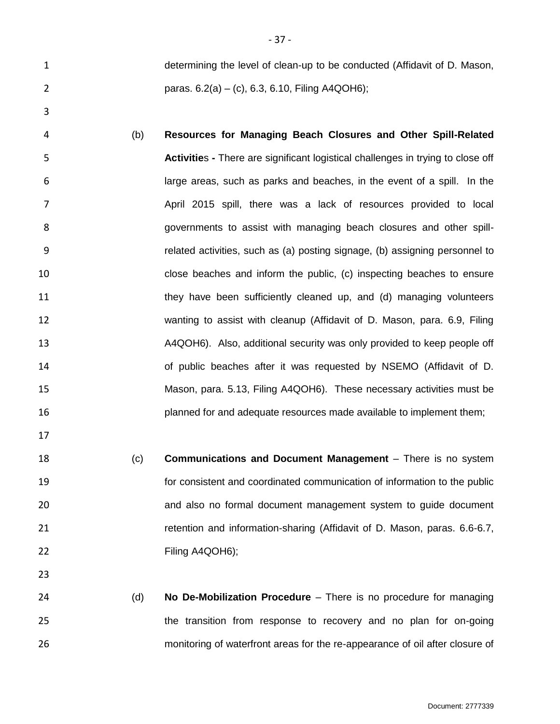determining the level of clean-up to be conducted (Affidavit of D. Mason, paras. 6.2(a) – (c), 6.3, 6.10, Filing A4QOH6);

- (b) **Resources for Managing Beach Closures and Other Spill-Related Activitie**s **-** There are significant logistical challenges in trying to close off large areas, such as parks and beaches, in the event of a spill. In the April 2015 spill, there was a lack of resources provided to local governments to assist with managing beach closures and other spill- related activities, such as (a) posting signage, (b) assigning personnel to close beaches and inform the public, (c) inspecting beaches to ensure 11 they have been sufficiently cleaned up, and (d) managing volunteers wanting to assist with cleanup (Affidavit of D. Mason, para. 6.9, Filing A4QOH6). Also, additional security was only provided to keep people off of public beaches after it was requested by NSEMO (Affidavit of D. Mason, para. 5.13, Filing A4QOH6). These necessary activities must be planned for and adequate resources made available to implement them;
- (c) **Communications and Document Management**  There is no system for consistent and coordinated communication of information to the public and also no formal document management system to guide document retention and information-sharing (Affidavit of D. Mason, paras. 6.6-6.7, Filing A4QOH6);
- (d) **No De-Mobilization Procedure**  There is no procedure for managing the transition from response to recovery and no plan for on-going monitoring of waterfront areas for the re-appearance of oil after closure of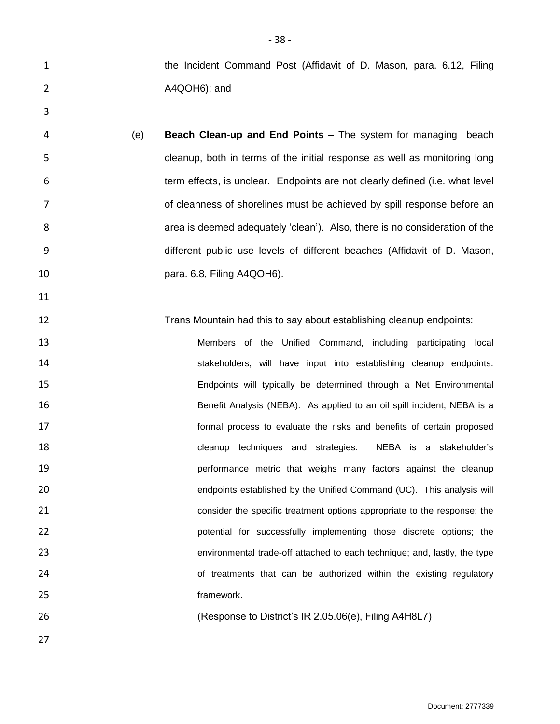**1** the Incident Command Post (Affidavit of D. Mason, para. 6.12, Filing A4QOH6); and

 (e) **Beach Clean-up and End Points** – The system for managing beach cleanup, both in terms of the initial response as well as monitoring long term effects, is unclear. Endpoints are not clearly defined (i.e. what level **be a conserved by spill response before an** of cleanness of shorelines must be achieved by spill response before an area is deemed adequately 'clean'). Also, there is no consideration of the different public use levels of different beaches (Affidavit of D. Mason, para. 6.8, Filing A4QOH6).

**Trans Mountain had this to say about establishing cleanup endpoints:** 

 Members of the Unified Command, including participating local **stakeholders**, will have input into establishing cleanup endpoints. Endpoints will typically be determined through a Net Environmental Benefit Analysis (NEBA). As applied to an oil spill incident, NEBA is a formal process to evaluate the risks and benefits of certain proposed cleanup techniques and strategies. NEBA is a stakeholder's **19 performance metric that weighs many factors against the cleanup**  endpoints established by the Unified Command (UC). This analysis will consider the specific treatment options appropriate to the response; the potential for successfully implementing those discrete options; the environmental trade-off attached to each technique; and, lastly, the type **24** of treatments that can be authorized within the existing regulatory 25 framework.

(Response to District's IR 2.05.06(e), Filing A4H8L7)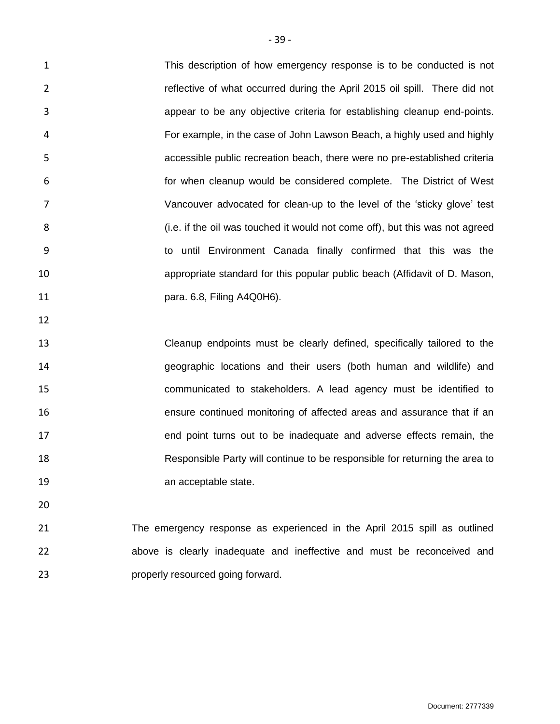This description of how emergency response is to be conducted is not reflective of what occurred during the April 2015 oil spill. There did not appear to be any objective criteria for establishing cleanup end-points. For example, in the case of John Lawson Beach, a highly used and highly accessible public recreation beach, there were no pre-established criteria for when cleanup would be considered complete. The District of West Vancouver advocated for clean-up to the level of the 'sticky glove' test 8 (i.e. if the oil was touched it would not come off), but this was not agreed to until Environment Canada finally confirmed that this was the appropriate standard for this popular public beach (Affidavit of D. Mason, para. 6.8, Filing A4Q0H6).

 Cleanup endpoints must be clearly defined, specifically tailored to the geographic locations and their users (both human and wildlife) and communicated to stakeholders. A lead agency must be identified to ensure continued monitoring of affected areas and assurance that if an end point turns out to be inadequate and adverse effects remain, the Responsible Party will continue to be responsible for returning the area to **an acceptable state.** 

 The emergency response as experienced in the April 2015 spill as outlined above is clearly inadequate and ineffective and must be reconceived and **properly resourced going forward.**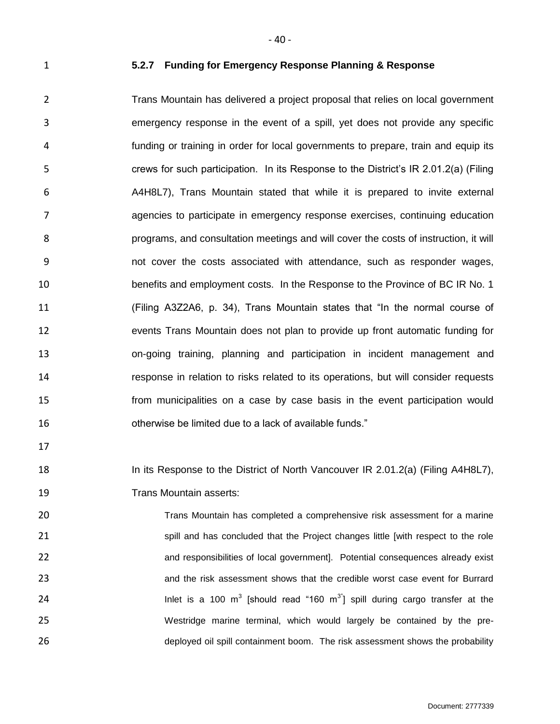<span id="page-41-0"></span>

#### **5.2.7 Funding for Emergency Response Planning & Response**

 Trans Mountain has delivered a project proposal that relies on local government emergency response in the event of a spill, yet does not provide any specific funding or training in order for local governments to prepare, train and equip its crews for such participation. In its Response to the District's IR 2.01.2(a) (Filing A4H8L7), Trans Mountain stated that while it is prepared to invite external agencies to participate in emergency response exercises, continuing education programs, and consultation meetings and will cover the costs of instruction, it will not cover the costs associated with attendance, such as responder wages, benefits and employment costs. In the Response to the Province of BC IR No. 1 (Filing A3Z2A6, p. 34), Trans Mountain states that "In the normal course of events Trans Mountain does not plan to provide up front automatic funding for on-going training, planning and participation in incident management and response in relation to risks related to its operations, but will consider requests from municipalities on a case by case basis in the event participation would otherwise be limited due to a lack of available funds."

18 In its Response to the District of North Vancouver IR 2.01.2(a) (Filing A4H8L7), Trans Mountain asserts:

 Trans Mountain has completed a comprehensive risk assessment for a marine spill and has concluded that the Project changes little [with respect to the role and responsibilities of local government]. Potential consequences already exist and the risk assessment shows that the credible worst case event for Burrard **12** Inlet is a 100 m<sup>3</sup> [should read "160 m<sup>3"</sup>] spill during cargo transfer at the Westridge marine terminal, which would largely be contained by the pre-deployed oil spill containment boom. The risk assessment shows the probability

- 40 -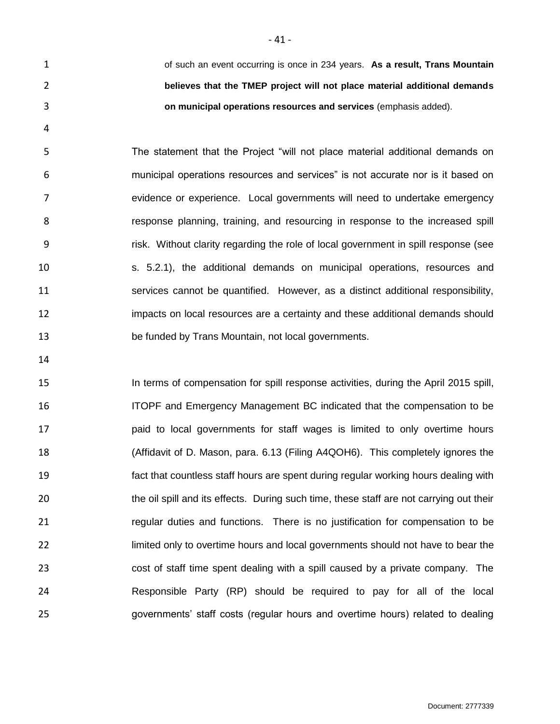of such an event occurring is once in 234 years. **As a result, Trans Mountain believes that the TMEP project will not place material additional demands on municipal operations resources and services** (emphasis added).

 The statement that the Project "will not place material additional demands on municipal operations resources and services" is not accurate nor is it based on evidence or experience. Local governments will need to undertake emergency response planning, training, and resourcing in response to the increased spill risk. Without clarity regarding the role of local government in spill response (see s. 5.2.1), the additional demands on municipal operations, resources and services cannot be quantified. However, as a distinct additional responsibility, impacts on local resources are a certainty and these additional demands should be funded by Trans Mountain, not local governments.

 In terms of compensation for spill response activities, during the April 2015 spill, ITOPF and Emergency Management BC indicated that the compensation to be paid to local governments for staff wages is limited to only overtime hours (Affidavit of D. Mason, para. 6.13 (Filing A4QOH6). This completely ignores the fact that countless staff hours are spent during regular working hours dealing with 20 the oil spill and its effects. During such time, these staff are not carrying out their **regular duties and functions.** There is no justification for compensation to be limited only to overtime hours and local governments should not have to bear the cost of staff time spent dealing with a spill caused by a private company. The Responsible Party (RP) should be required to pay for all of the local governments' staff costs (regular hours and overtime hours) related to dealing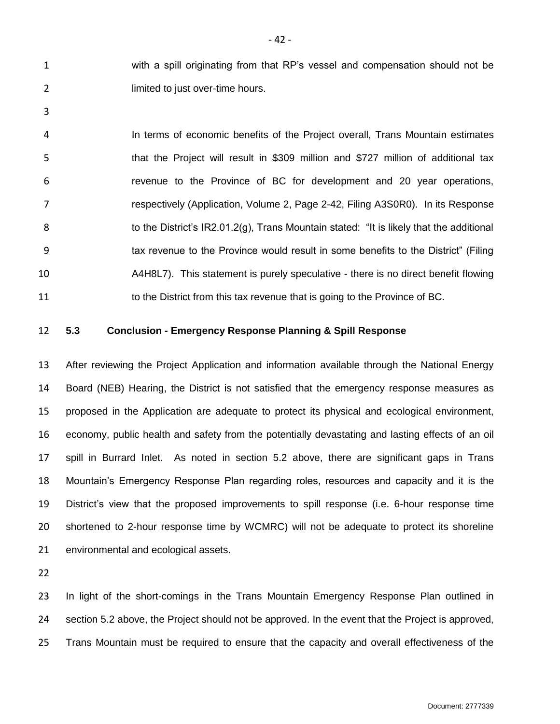with a spill originating from that RP's vessel and compensation should not be **limited to just over-time hours.** 

 In terms of economic benefits of the Project overall, Trans Mountain estimates that the Project will result in \$309 million and \$727 million of additional tax revenue to the Province of BC for development and 20 year operations, respectively (Application, Volume 2, Page 2-42, Filing A3S0R0). In its Response 8 to the District's IR2.01.2(g), Trans Mountain stated: "It is likely that the additional tax revenue to the Province would result in some benefits to the District" (Filing A4H8L7). This statement is purely speculative - there is no direct benefit flowing 11 to the District from this tax revenue that is going to the Province of BC.

# <span id="page-43-0"></span>**5.3 Conclusion - Emergency Response Planning & Spill Response**

 After reviewing the Project Application and information available through the National Energy Board (NEB) Hearing, the District is not satisfied that the emergency response measures as proposed in the Application are adequate to protect its physical and ecological environment, economy, public health and safety from the potentially devastating and lasting effects of an oil spill in Burrard Inlet. As noted in section 5.2 above, there are significant gaps in Trans Mountain's Emergency Response Plan regarding roles, resources and capacity and it is the District's view that the proposed improvements to spill response (i.e. 6-hour response time shortened to 2-hour response time by WCMRC) will not be adequate to protect its shoreline environmental and ecological assets.

 In light of the short-comings in the Trans Mountain Emergency Response Plan outlined in section 5.2 above, the Project should not be approved. In the event that the Project is approved, Trans Mountain must be required to ensure that the capacity and overall effectiveness of the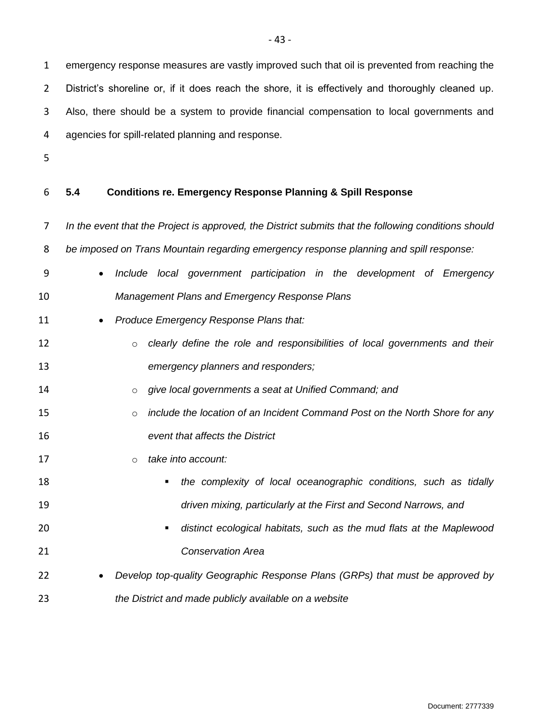emergency response measures are vastly improved such that oil is prevented from reaching the District's shoreline or, if it does reach the shore, it is effectively and thoroughly cleaned up. Also, there should be a system to provide financial compensation to local governments and agencies for spill-related planning and response.

# <span id="page-44-0"></span>**5.4 Conditions re. Emergency Response Planning & Spill Response**

 *In the event that the Project is approved, the District submits that the following conditions should be imposed on Trans Mountain regarding emergency response planning and spill response:*

 *Include local government participation in the development of Emergency Management Plans and Emergency Response Plans*

# 11 • *Produce Emergency Response Plans that:*

- o *clearly define the role and responsibilities of local governments and their emergency planners and responders;*
- o *give local governments a seat at Unified Command; and*
- o *include the location of an Incident Command Post on the North Shore for any event that affects the District*
- o *take into account:*
- *the complexity of local oceanographic conditions, such as tidally driven mixing, particularly at the First and Second Narrows, and*
- *distinct ecological habitats, such as the mud flats at the Maplewood Conservation Area*
- *Develop top-quality Geographic Response Plans (GRPs) that must be approved by the District and made publicly available on a website*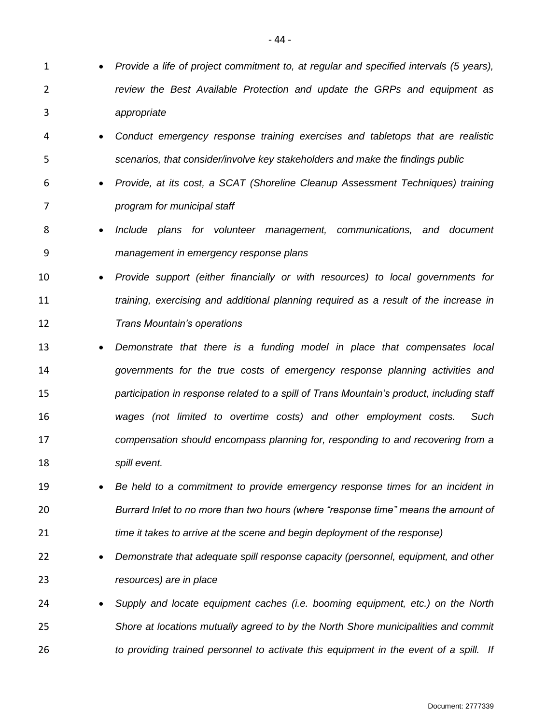- *Provide a life of project commitment to, at regular and specified intervals (5 years),*
- *review the Best Available Protection and update the GRPs and equipment as appropriate*
- *Conduct emergency response training exercises and tabletops that are realistic scenarios, that consider/involve key stakeholders and make the findings public*
- *Provide, at its cost, a SCAT (Shoreline Cleanup Assessment Techniques) training program for municipal staff*
- *Include plans for volunteer management, communications, and document management in emergency response plans*
- *Provide support (either financially or with resources) to local governments for training, exercising and additional planning required as a result of the increase in Trans Mountain's operations*
- *Demonstrate that there is a funding model in place that compensates local governments for the true costs of emergency response planning activities and participation in response related to a spill of Trans Mountain's product, including staff wages (not limited to overtime costs) and other employment costs. Such compensation should encompass planning for, responding to and recovering from a spill event.*
- *Be held to a commitment to provide emergency response times for an incident in Burrard Inlet to no more than two hours (where "response time" means the amount of time it takes to arrive at the scene and begin deployment of the response)*
- *Demonstrate that adequate spill response capacity (personnel, equipment, and other resources) are in place*
- *Supply and locate equipment caches (i.e. booming equipment, etc.) on the North Shore at locations mutually agreed to by the North Shore municipalities and commit to providing trained personnel to activate this equipment in the event of a spill. If*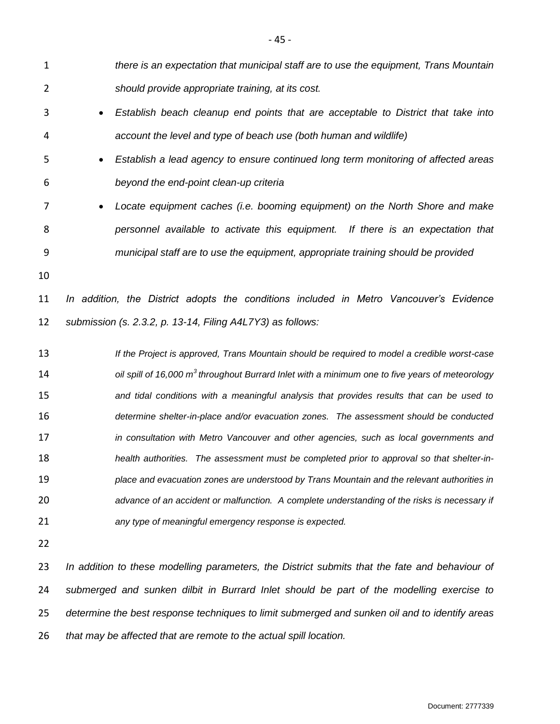*there is an expectation that municipal staff are to use the equipment, Trans Mountain should provide appropriate training, at its cost. Establish beach cleanup end points that are acceptable to District that take into account the level and type of beach use (both human and wildlife) Establish a lead agency to ensure continued long term monitoring of affected areas beyond the end-point clean-up criteria Locate equipment caches (i.e. booming equipment) on the North Shore and make personnel available to activate this equipment. If there is an expectation that municipal staff are to use the equipment, appropriate training should be provided In addition, the District adopts the conditions included in Metro Vancouver's Evidence submission (s. 2.3.2, p. 13-14, Filing A4L7Y3) as follows: If the Project is approved, Trans Mountain should be required to model a credible worst-case oil spill of 16,000 m<sup>3</sup> throughout Burrard Inlet with a minimum one to five years of meteorology and tidal conditions with a meaningful analysis that provides results that can be used to determine shelter-in-place and/or evacuation zones. The assessment should be conducted in consultation with Metro Vancouver and other agencies, such as local governments and health authorities. The assessment must be completed prior to approval so that shelter-in- place and evacuation zones are understood by Trans Mountain and the relevant authorities in advance of an accident or malfunction. A complete understanding of the risks is necessary if any type of meaningful emergency response is expected. In addition to these modelling parameters, the District submits that the fate and behaviour of* 

 *submerged and sunken dilbit in Burrard Inlet should be part of the modelling exercise to determine the best response techniques to limit submerged and sunken oil and to identify areas that may be affected that are remote to the actual spill location.*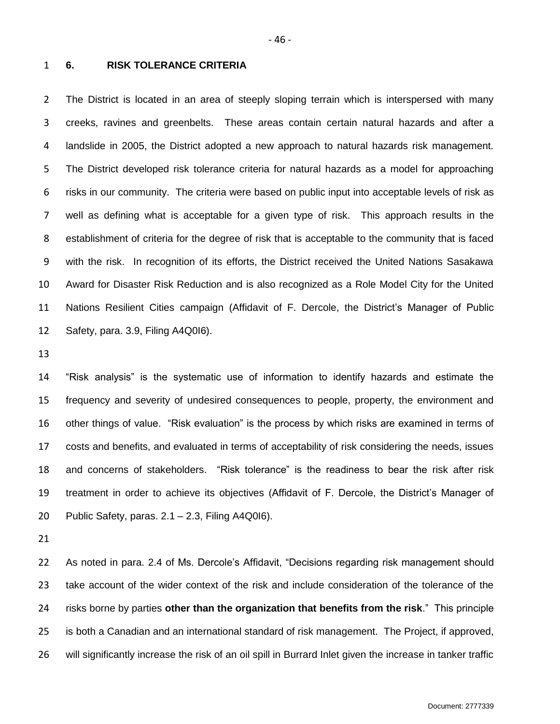#### <span id="page-47-0"></span>**6. RISK TOLERANCE CRITERIA**

 The District is located in an area of steeply sloping terrain which is interspersed with many creeks, ravines and greenbelts. These areas contain certain natural hazards and after a landslide in 2005, the District adopted a new approach to natural hazards risk management. The District developed risk tolerance criteria for natural hazards as a model for approaching risks in our community. The criteria were based on public input into acceptable levels of risk as well as defining what is acceptable for a given type of risk. This approach results in the establishment of criteria for the degree of risk that is acceptable to the community that is faced with the risk. In recognition of its efforts, the District received the United Nations Sasakawa Award for Disaster Risk Reduction and is also recognized as a Role Model City for the United Nations Resilient Cities campaign (Affidavit of F. Dercole, the District's Manager of Public Safety, para. 3.9, Filing A4Q0I6).

 "Risk analysis" is the systematic use of information to identify hazards and estimate the frequency and severity of undesired consequences to people, property, the environment and other things of value. "Risk evaluation" is the process by which risks are examined in terms of costs and benefits, and evaluated in terms of acceptability of risk considering the needs, issues and concerns of stakeholders. "Risk tolerance" is the readiness to bear the risk after risk treatment in order to achieve its objectives (Affidavit of F. Dercole, the District's Manager of Public Safety, paras. 2.1 – 2.3, Filing A4Q0I6).

 As noted in para. 2.4 of Ms. Dercole's Affidavit, "Decisions regarding risk management should take account of the wider context of the risk and include consideration of the tolerance of the risks borne by parties **other than the organization that benefits from the risk**." This principle is both a Canadian and an international standard of risk management. The Project, if approved, will significantly increase the risk of an oil spill in Burrard Inlet given the increase in tanker traffic

- 46 -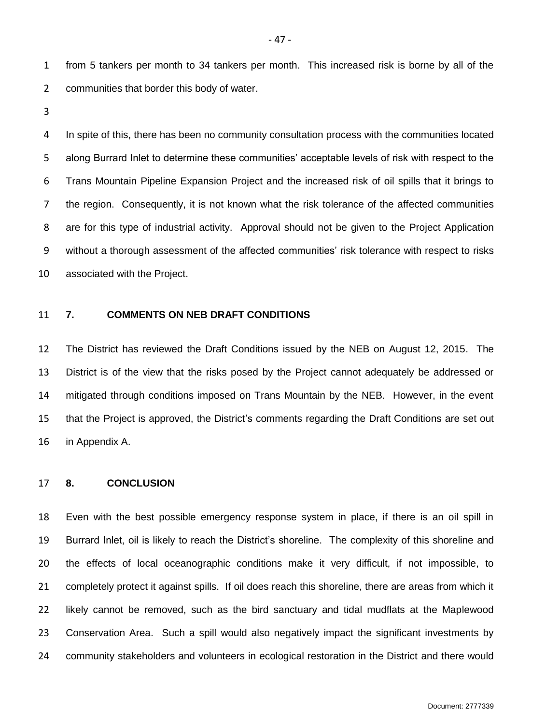from 5 tankers per month to 34 tankers per month. This increased risk is borne by all of the communities that border this body of water.

 In spite of this, there has been no community consultation process with the communities located along Burrard Inlet to determine these communities' acceptable levels of risk with respect to the Trans Mountain Pipeline Expansion Project and the increased risk of oil spills that it brings to the region. Consequently, it is not known what the risk tolerance of the affected communities are for this type of industrial activity. Approval should not be given to the Project Application without a thorough assessment of the affected communities' risk tolerance with respect to risks associated with the Project.

#### <span id="page-48-0"></span>**7. COMMENTS ON NEB DRAFT CONDITIONS**

 The District has reviewed the Draft Conditions issued by the NEB on August 12, 2015. The District is of the view that the risks posed by the Project cannot adequately be addressed or mitigated through conditions imposed on Trans Mountain by the NEB. However, in the event that the Project is approved, the District's comments regarding the Draft Conditions are set out in Appendix A.

### <span id="page-48-1"></span>**8. CONCLUSION**

 Even with the best possible emergency response system in place, if there is an oil spill in Burrard Inlet, oil is likely to reach the District's shoreline. The complexity of this shoreline and the effects of local oceanographic conditions make it very difficult, if not impossible, to completely protect it against spills. If oil does reach this shoreline, there are areas from which it likely cannot be removed, such as the bird sanctuary and tidal mudflats at the Maplewood Conservation Area. Such a spill would also negatively impact the significant investments by community stakeholders and volunteers in ecological restoration in the District and there would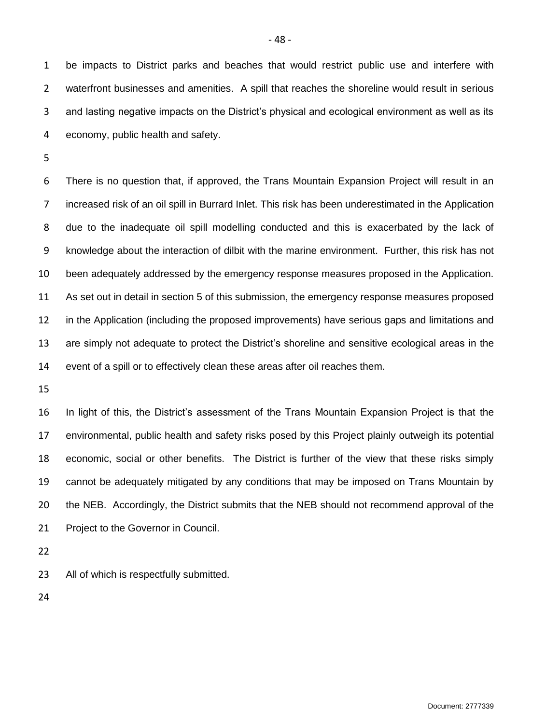be impacts to District parks and beaches that would restrict public use and interfere with waterfront businesses and amenities. A spill that reaches the shoreline would result in serious and lasting negative impacts on the District's physical and ecological environment as well as its economy, public health and safety.

 There is no question that, if approved, the Trans Mountain Expansion Project will result in an increased risk of an oil spill in Burrard Inlet. This risk has been underestimated in the Application due to the inadequate oil spill modelling conducted and this is exacerbated by the lack of knowledge about the interaction of dilbit with the marine environment. Further, this risk has not been adequately addressed by the emergency response measures proposed in the Application. As set out in detail in section 5 of this submission, the emergency response measures proposed in the Application (including the proposed improvements) have serious gaps and limitations and are simply not adequate to protect the District's shoreline and sensitive ecological areas in the event of a spill or to effectively clean these areas after oil reaches them.

 In light of this, the District's assessment of the Trans Mountain Expansion Project is that the environmental, public health and safety risks posed by this Project plainly outweigh its potential economic, social or other benefits. The District is further of the view that these risks simply cannot be adequately mitigated by any conditions that may be imposed on Trans Mountain by the NEB. Accordingly, the District submits that the NEB should not recommend approval of the Project to the Governor in Council.

All of which is respectfully submitted.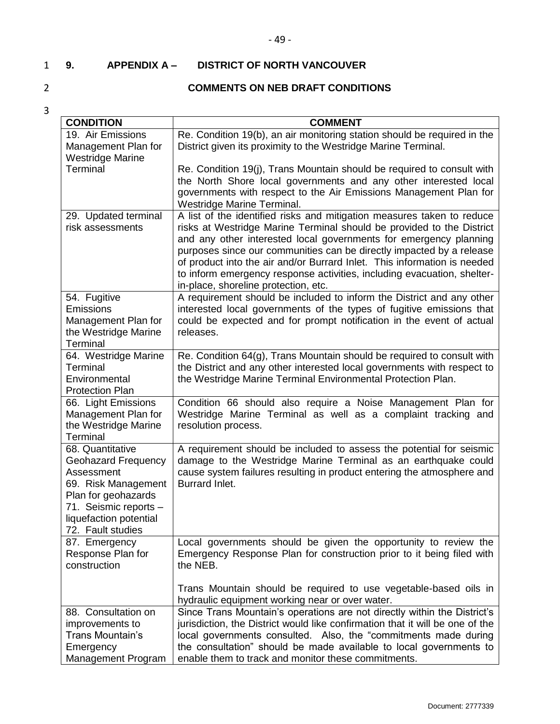# - 49 -

# <span id="page-50-0"></span>1 **9. APPENDIX A – DISTRICT OF NORTH VANCOUVER**

# 2 **COMMENTS ON NEB DRAFT CONDITIONS**

| <b>CONDITION</b>                                                                                                                                                                   | <b>COMMENT</b>                                                                                                                                                                                                                                                                                                                                                                                                                                                                              |
|------------------------------------------------------------------------------------------------------------------------------------------------------------------------------------|---------------------------------------------------------------------------------------------------------------------------------------------------------------------------------------------------------------------------------------------------------------------------------------------------------------------------------------------------------------------------------------------------------------------------------------------------------------------------------------------|
| 19. Air Emissions                                                                                                                                                                  | Re. Condition 19(b), an air monitoring station should be required in the                                                                                                                                                                                                                                                                                                                                                                                                                    |
| Management Plan for<br><b>Westridge Marine</b>                                                                                                                                     | District given its proximity to the Westridge Marine Terminal.                                                                                                                                                                                                                                                                                                                                                                                                                              |
| Terminal                                                                                                                                                                           | Re. Condition 19(j), Trans Mountain should be required to consult with<br>the North Shore local governments and any other interested local<br>governments with respect to the Air Emissions Management Plan for<br>Westridge Marine Terminal.                                                                                                                                                                                                                                               |
| 29. Updated terminal<br>risk assessments                                                                                                                                           | A list of the identified risks and mitigation measures taken to reduce<br>risks at Westridge Marine Terminal should be provided to the District<br>and any other interested local governments for emergency planning<br>purposes since our communities can be directly impacted by a release<br>of product into the air and/or Burrard Inlet. This information is needed<br>to inform emergency response activities, including evacuation, shelter-<br>in-place, shoreline protection, etc. |
| 54. Fugitive<br>Emissions<br>Management Plan for<br>the Westridge Marine<br>Terminal                                                                                               | A requirement should be included to inform the District and any other<br>interested local governments of the types of fugitive emissions that<br>could be expected and for prompt notification in the event of actual<br>releases.                                                                                                                                                                                                                                                          |
| 64. Westridge Marine<br><b>Terminal</b><br>Environmental<br><b>Protection Plan</b>                                                                                                 | Re. Condition 64(g), Trans Mountain should be required to consult with<br>the District and any other interested local governments with respect to<br>the Westridge Marine Terminal Environmental Protection Plan.                                                                                                                                                                                                                                                                           |
| 66. Light Emissions<br>Management Plan for<br>the Westridge Marine<br>Terminal                                                                                                     | Condition 66 should also require a Noise Management Plan for<br>Westridge Marine Terminal as well as a complaint tracking and<br>resolution process.                                                                                                                                                                                                                                                                                                                                        |
| 68. Quantitative<br><b>Geohazard Frequency</b><br>Assessment<br>69. Risk Management<br>Plan for geohazards<br>71. Seismic reports -<br>liquefaction potential<br>72. Fault studies | A requirement should be included to assess the potential for seismic<br>damage to the Westridge Marine Terminal as an earthquake could<br>cause system failures resulting in product entering the atmosphere and<br>Burrard Inlet.                                                                                                                                                                                                                                                          |
| 87. Emergency<br>Response Plan for<br>construction                                                                                                                                 | Local governments should be given the opportunity to review the<br>Emergency Response Plan for construction prior to it being filed with<br>the NEB.                                                                                                                                                                                                                                                                                                                                        |
| 88. Consultation on<br>improvements to<br>Trans Mountain's<br>Emergency<br>Management Program                                                                                      | Trans Mountain should be required to use vegetable-based oils in<br>hydraulic equipment working near or over water.<br>Since Trans Mountain's operations are not directly within the District's<br>jurisdiction, the District would like confirmation that it will be one of the<br>local governments consulted. Also, the "commitments made during<br>the consultation" should be made available to local governments to<br>enable them to track and monitor these commitments.            |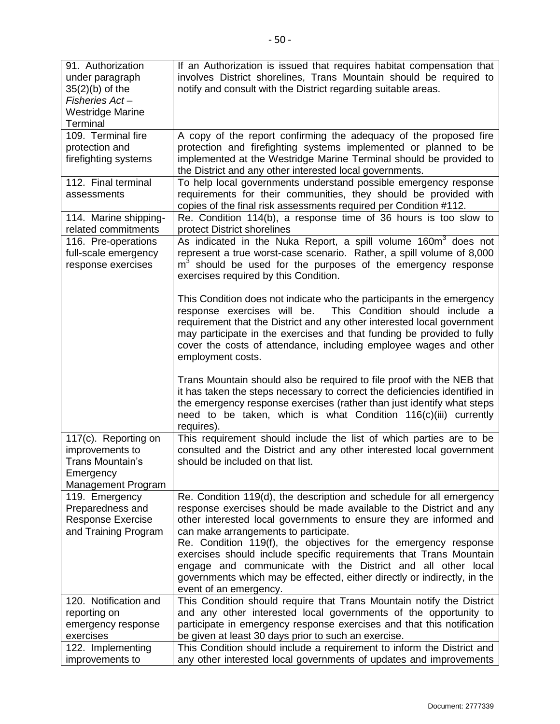| 91. Authorization<br>under paragraph<br>$35(2)(b)$ of the<br>Fisheries Act-<br><b>Westridge Marine</b><br>Terminal | If an Authorization is issued that requires habitat compensation that<br>involves District shorelines, Trans Mountain should be required to<br>notify and consult with the District regarding suitable areas.                                                                                                                                                                                                                                                                                                                                                             |
|--------------------------------------------------------------------------------------------------------------------|---------------------------------------------------------------------------------------------------------------------------------------------------------------------------------------------------------------------------------------------------------------------------------------------------------------------------------------------------------------------------------------------------------------------------------------------------------------------------------------------------------------------------------------------------------------------------|
| 109. Terminal fire<br>protection and<br>firefighting systems                                                       | A copy of the report confirming the adequacy of the proposed fire<br>protection and firefighting systems implemented or planned to be<br>implemented at the Westridge Marine Terminal should be provided to<br>the District and any other interested local governments.                                                                                                                                                                                                                                                                                                   |
| 112. Final terminal<br>assessments                                                                                 | To help local governments understand possible emergency response<br>requirements for their communities, they should be provided with<br>copies of the final risk assessments required per Condition #112.                                                                                                                                                                                                                                                                                                                                                                 |
| 114. Marine shipping-<br>related commitments                                                                       | Re. Condition 114(b), a response time of 36 hours is too slow to<br>protect District shorelines                                                                                                                                                                                                                                                                                                                                                                                                                                                                           |
| 116. Pre-operations<br>full-scale emergency<br>response exercises                                                  | As indicated in the Nuka Report, a spill volume 160m <sup>3</sup> does not<br>represent a true worst-case scenario. Rather, a spill volume of 8,000<br>$m3$ should be used for the purposes of the emergency response<br>exercises required by this Condition.                                                                                                                                                                                                                                                                                                            |
|                                                                                                                    | This Condition does not indicate who the participants in the emergency<br>response exercises will be.<br>This Condition should include a<br>requirement that the District and any other interested local government<br>may participate in the exercises and that funding be provided to fully<br>cover the costs of attendance, including employee wages and other<br>employment costs.                                                                                                                                                                                   |
|                                                                                                                    | Trans Mountain should also be required to file proof with the NEB that<br>it has taken the steps necessary to correct the deficiencies identified in<br>the emergency response exercises (rather than just identify what steps<br>need to be taken, which is what Condition 116(c)(iii) currently<br>requires).                                                                                                                                                                                                                                                           |
| 117(c). Reporting on<br>improvements to<br>Trans Mountain's<br>Emergency<br>Management Program                     | This requirement should include the list of which parties are to be<br>consulted and the District and any other interested local government<br>should be included on that list.                                                                                                                                                                                                                                                                                                                                                                                           |
| 119. Emergency<br>Preparedness and<br><b>Response Exercise</b><br>and Training Program                             | Re. Condition 119(d), the description and schedule for all emergency<br>response exercises should be made available to the District and any<br>other interested local governments to ensure they are informed and<br>can make arrangements to participate.<br>Re. Condition 119(f), the objectives for the emergency response<br>exercises should include specific requirements that Trans Mountain<br>engage and communicate with the District and all other local<br>governments which may be effected, either directly or indirectly, in the<br>event of an emergency. |
| 120. Notification and<br>reporting on<br>emergency response<br>exercises                                           | This Condition should require that Trans Mountain notify the District<br>and any other interested local governments of the opportunity to<br>participate in emergency response exercises and that this notification<br>be given at least 30 days prior to such an exercise.                                                                                                                                                                                                                                                                                               |
| 122. Implementing<br>improvements to                                                                               | This Condition should include a requirement to inform the District and<br>any other interested local governments of updates and improvements                                                                                                                                                                                                                                                                                                                                                                                                                              |